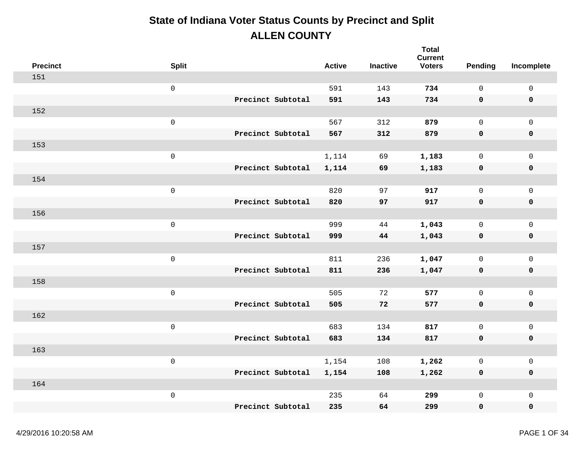| <b>Precinct</b> | <b>Split</b>        |                   | <b>Active</b> | <b>Inactive</b> | <b>Total</b><br><b>Current</b><br><b>Voters</b> | Pending      | Incomplete          |
|-----------------|---------------------|-------------------|---------------|-----------------|-------------------------------------------------|--------------|---------------------|
| 151             |                     |                   |               |                 |                                                 |              |                     |
|                 | $\mathsf 0$         |                   | 591           | 143             | 734                                             | $\mathbf 0$  | $\mathsf{O}\xspace$ |
|                 |                     | Precinct Subtotal | 591           | 143             | 734                                             | 0            | $\pmb{0}$           |
| 152             |                     |                   |               |                 |                                                 |              |                     |
|                 | $\mathsf{O}\xspace$ |                   | 567           | 312             | 879                                             | $\mathsf{O}$ | $\mathbf 0$         |
|                 |                     | Precinct Subtotal | 567           | 312             | 879                                             | 0            | $\pmb{0}$           |
| 153             |                     |                   |               |                 |                                                 |              |                     |
|                 | $\mathsf 0$         |                   | 1,114         | 69              | 1,183                                           | $\mathsf{O}$ | $\mathsf{O}\xspace$ |
|                 |                     | Precinct Subtotal | 1,114         | 69              | 1,183                                           | 0            | $\pmb{0}$           |
| 154             |                     |                   |               |                 |                                                 |              |                     |
|                 | $\mathsf{O}\xspace$ |                   | 820           | 97              | 917                                             | $\mathsf{O}$ | $\mathbf 0$         |
|                 |                     | Precinct Subtotal | 820           | 97              | 917                                             | $\mathbf 0$  | $\pmb{0}$           |
| 156             |                     |                   |               |                 |                                                 |              |                     |
|                 | $\mathsf 0$         |                   | 999           | 44              | 1,043                                           | $\mathsf{O}$ | $\mathsf{O}\xspace$ |
|                 |                     | Precinct Subtotal | 999           | 44              | 1,043                                           | 0            | $\pmb{0}$           |
| 157             |                     |                   |               |                 |                                                 |              |                     |
|                 | $\mathsf 0$         |                   | 811           | 236             | 1,047                                           | $\mathsf{O}$ | $\mathsf{O}\xspace$ |
|                 |                     | Precinct Subtotal | 811           | 236             | 1,047                                           | $\mathbf 0$  | $\pmb{0}$           |
| 158             |                     |                   |               |                 |                                                 |              |                     |
|                 | $\mathsf 0$         |                   | 505           | 72              | 577                                             | $\mathsf{O}$ | $\mathsf{O}\xspace$ |
|                 |                     | Precinct Subtotal | 505           | 72              | 577                                             | 0            | $\pmb{0}$           |
| 162             |                     |                   |               |                 |                                                 |              |                     |
|                 | $\mathsf{O}\xspace$ |                   | 683           | 134             | 817                                             | $\mathsf{O}$ | $\mathsf{O}\xspace$ |
|                 |                     | Precinct Subtotal | 683           | 134             | 817                                             | $\mathbf 0$  | $\pmb{0}$           |
| 163             |                     |                   |               |                 |                                                 |              |                     |
|                 | $\mathsf 0$         |                   | 1,154         | 108             | 1,262                                           | $\mathsf{O}$ | $\mathsf{O}\xspace$ |
|                 |                     | Precinct Subtotal | 1,154         | 108             | 1,262                                           | 0            | $\pmb{0}$           |
| 164             |                     |                   |               |                 |                                                 |              |                     |
|                 | $\mathsf 0$         |                   | 235           | 64              | 299                                             | 0            | $\mathsf{O}\xspace$ |
|                 |                     | Precinct Subtotal | 235           | 64              | 299                                             | 0            | $\mathbf 0$         |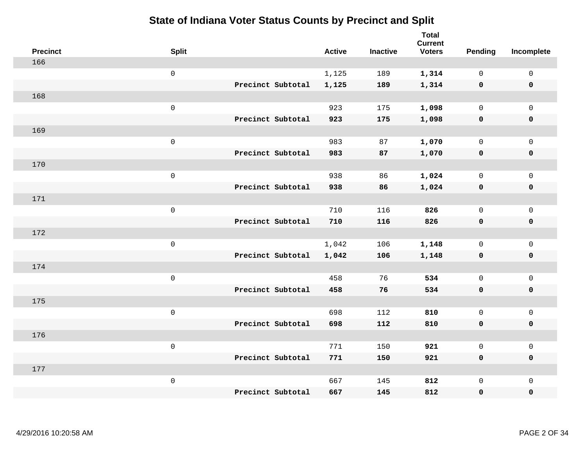| <b>Precinct</b> | <b>Split</b>        |                   | <b>Active</b> | <b>Inactive</b> | <b>Total</b><br><b>Current</b><br><b>Voters</b> | Pending      | Incomplete          |
|-----------------|---------------------|-------------------|---------------|-----------------|-------------------------------------------------|--------------|---------------------|
| 166             |                     |                   |               |                 |                                                 |              |                     |
|                 | $\mathsf{O}$        |                   | 1,125         | 189             | 1,314                                           | $\mathbf 0$  | $\mathsf{O}\xspace$ |
|                 |                     | Precinct Subtotal | 1,125         | 189             | 1,314                                           | $\mathbf 0$  | $\pmb{0}$           |
| 168             |                     |                   |               |                 |                                                 |              |                     |
|                 | $\mathsf 0$         |                   | 923           | 175             | 1,098                                           | $\mathbf 0$  | $\mathsf{O}\xspace$ |
|                 |                     | Precinct Subtotal | 923           | 175             | 1,098                                           | $\mathbf 0$  | $\pmb{0}$           |
| 169             |                     |                   |               |                 |                                                 |              |                     |
|                 | $\mathbf 0$         |                   | 983           | 87              | 1,070                                           | $\mathsf{O}$ | $\mathsf{O}\xspace$ |
|                 |                     | Precinct Subtotal | 983           | 87              | 1,070                                           | $\mathbf 0$  | 0                   |
| 170             |                     |                   |               |                 |                                                 |              |                     |
|                 | $\mathsf{O}\xspace$ |                   | 938           | 86              | 1,024                                           | $\mathsf{O}$ | $\mathsf{O}\xspace$ |
|                 |                     | Precinct Subtotal | 938           | 86              | 1,024                                           | $\mathbf 0$  | 0                   |
| 171             |                     |                   |               |                 |                                                 |              |                     |
|                 | $\mathbf 0$         |                   | 710           | 116             | 826                                             | $\mathbf 0$  | $\mathsf{O}\xspace$ |
|                 |                     | Precinct Subtotal | 710           | 116             | 826                                             | 0            | 0                   |
| 172             |                     |                   |               |                 |                                                 |              |                     |
|                 | $\mathsf{O}\xspace$ |                   | 1,042         | 106             | 1,148                                           | $\mathsf{O}$ | $\mathsf{O}\xspace$ |
|                 |                     | Precinct Subtotal | 1,042         | 106             | 1,148                                           | $\mathbf 0$  | 0                   |
| 174             |                     |                   |               |                 |                                                 |              |                     |
|                 | $\mathbf 0$         |                   | 458           | 76              | 534                                             | $\mathbf 0$  | $\mathsf{O}$        |
|                 |                     | Precinct Subtotal | 458           | 76              | 534                                             | 0            | 0                   |
| 175             |                     |                   |               |                 |                                                 |              |                     |
|                 | $\mathsf{O}\xspace$ |                   | 698           | 112             | 810                                             | $\mathsf{O}$ | $\mathsf{O}\xspace$ |
|                 |                     | Precinct Subtotal | 698           | 112             | 810                                             | 0            | 0                   |
| 176             |                     |                   |               |                 |                                                 |              |                     |
|                 | $\mathsf 0$         |                   | 771           | 150             | 921                                             | $\mathsf{O}$ | $\mathsf{O}\xspace$ |
|                 |                     | Precinct Subtotal | 771           | 150             | 921                                             | 0            | 0                   |
| 177             |                     |                   |               |                 |                                                 |              |                     |
|                 | $\mathbf 0$         |                   | 667           | 145             | 812                                             | $\mathsf{O}$ | $\mathsf{O}$        |
|                 |                     | Precinct Subtotal | 667           | 145             | 812                                             | 0            | 0                   |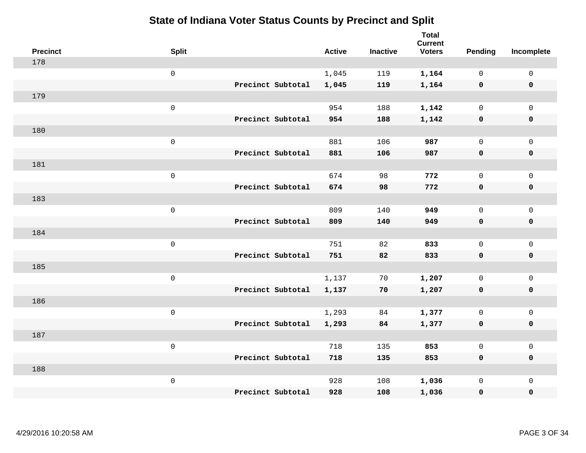| <b>Precinct</b> | <b>Split</b>        |                   | <b>Active</b> | <b>Inactive</b> | <b>Total</b><br><b>Current</b><br><b>Voters</b> | Pending      | Incomplete          |
|-----------------|---------------------|-------------------|---------------|-----------------|-------------------------------------------------|--------------|---------------------|
| 178             |                     |                   |               |                 |                                                 |              |                     |
|                 | $\mathsf{O}$        |                   | 1,045         | 119             | 1,164                                           | $\mathbf 0$  | $\mathsf{O}\xspace$ |
|                 |                     | Precinct Subtotal | 1,045         | 119             | 1,164                                           | $\mathbf 0$  | $\pmb{0}$           |
| 179             |                     |                   |               |                 |                                                 |              |                     |
|                 | $\mathsf{O}\xspace$ |                   | 954           | 188             | 1,142                                           | $\mathbf 0$  | $\mathsf{O}\xspace$ |
|                 |                     | Precinct Subtotal | 954           | 188             | 1,142                                           | $\mathbf 0$  | $\pmb{0}$           |
| 180             |                     |                   |               |                 |                                                 |              |                     |
|                 | $\mathbf 0$         |                   | 881           | 106             | 987                                             | $\mathbf 0$  | $\mathsf{O}\xspace$ |
|                 |                     | Precinct Subtotal | 881           | 106             | 987                                             | 0            | 0                   |
| 181             |                     |                   |               |                 |                                                 |              |                     |
|                 | $\mathsf{O}\xspace$ |                   | 674           | 98              | 772                                             | $\mathsf{O}$ | $\mathsf{O}\xspace$ |
|                 |                     | Precinct Subtotal | 674           | 98              | 772                                             | $\mathbf 0$  | 0                   |
| 183             |                     |                   |               |                 |                                                 |              |                     |
|                 | $\mathbf 0$         |                   | 809           | 140             | 949                                             | $\mathbf 0$  | $\mathsf{O}\xspace$ |
|                 |                     | Precinct Subtotal | 809           | 140             | 949                                             | $\mathbf 0$  | 0                   |
| 184             |                     |                   |               |                 |                                                 |              |                     |
|                 | $\mathsf{O}\xspace$ |                   | 751           | 82              | 833                                             | $\mathbf 0$  | $\mathsf{O}\xspace$ |
|                 |                     | Precinct Subtotal | 751           | 82              | 833                                             | $\mathbf 0$  | 0                   |
| 185             |                     |                   |               |                 |                                                 |              |                     |
|                 | $\mathbf 0$         |                   | 1,137         | 70              | 1,207                                           | $\mathbf 0$  | $\mathsf{O}$        |
|                 |                     | Precinct Subtotal | 1,137         | 70              | 1,207                                           | $\mathbf 0$  | 0                   |
| 186             |                     |                   |               |                 |                                                 |              |                     |
|                 | $\mathsf{O}\xspace$ |                   | 1,293         | 84              | 1,377                                           | $\mathbf 0$  | $\mathsf{O}\xspace$ |
|                 |                     | Precinct Subtotal | 1,293         | 84              | 1,377                                           | 0            | 0                   |
| 187             |                     |                   |               |                 |                                                 |              |                     |
|                 | $\mathsf 0$         |                   | 718           | 135             | 853                                             | $\mathsf{O}$ | $\mathsf 0$         |
|                 |                     | Precinct Subtotal | 718           | 135             | 853                                             | 0            | 0                   |
| 188             |                     |                   |               |                 |                                                 |              |                     |
|                 | $\mathbf 0$         |                   | 928           | 108             | 1,036                                           | $\mathsf{O}$ | $\mathsf{O}$        |
|                 |                     | Precinct Subtotal | 928           | 108             | 1,036                                           | 0            | 0                   |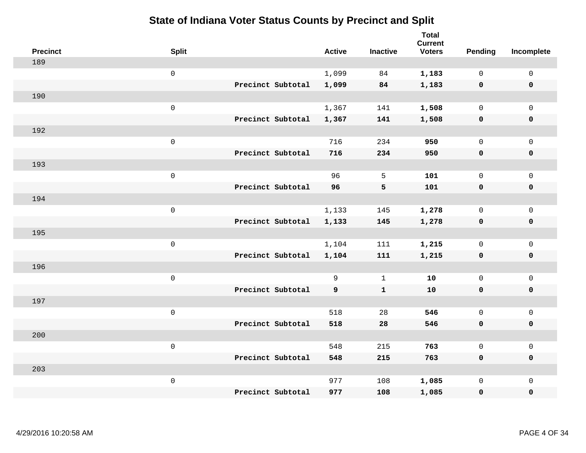| <b>Precinct</b> | <b>Split</b>        |                   | <b>Active</b> | <b>Inactive</b> | <b>Total</b><br><b>Current</b><br><b>Voters</b> | Pending      | Incomplete          |
|-----------------|---------------------|-------------------|---------------|-----------------|-------------------------------------------------|--------------|---------------------|
| 189             |                     |                   |               |                 |                                                 |              |                     |
|                 | $\mathsf{O}$        |                   | 1,099         | 84              | 1,183                                           | $\mathbf 0$  | $\mathsf{O}\xspace$ |
|                 |                     | Precinct Subtotal | 1,099         | 84              | 1,183                                           | $\mathbf 0$  | $\pmb{0}$           |
| 190             |                     |                   |               |                 |                                                 |              |                     |
|                 | $\mathsf{O}\xspace$ |                   | 1,367         | 141             | 1,508                                           | $\mathbf 0$  | $\mathsf{O}\xspace$ |
|                 |                     | Precinct Subtotal | 1,367         | 141             | 1,508                                           | $\mathbf 0$  | $\pmb{0}$           |
| 192             |                     |                   |               |                 |                                                 |              |                     |
|                 | $\mathbf 0$         |                   | 716           | 234             | 950                                             | $\mathsf{O}$ | $\mathsf{O}\xspace$ |
|                 |                     | Precinct Subtotal | 716           | 234             | 950                                             | 0            | 0                   |
| 193             |                     |                   |               |                 |                                                 |              |                     |
|                 | $\mathbf 0$         |                   | 96            | 5               | 101                                             | $\mathbf 0$  | $\mathsf{O}\xspace$ |
|                 |                     | Precinct Subtotal | 96            | 5               | 101                                             | $\mathbf 0$  | 0                   |
| 194             |                     |                   |               |                 |                                                 |              |                     |
|                 | $\mathbf 0$         |                   | 1,133         | 145             | 1,278                                           | $\mathbf 0$  | $\mathsf{O}\xspace$ |
|                 |                     | Precinct Subtotal | 1,133         | 145             | 1,278                                           | 0            | 0                   |
| 195             |                     |                   |               |                 |                                                 |              |                     |
|                 | $\mathsf{O}\xspace$ |                   | 1,104         | 111             | 1,215                                           | $\mathbf 0$  | $\mathsf{O}\xspace$ |
|                 |                     | Precinct Subtotal | 1,104         | 111             | 1,215                                           | $\mathbf 0$  | 0                   |
| 196             |                     |                   |               |                 |                                                 |              |                     |
|                 | $\mathbf 0$         |                   | 9             | $\mathbf{1}$    | 10                                              | $\mathbf 0$  | $\mathsf{O}$        |
|                 |                     | Precinct Subtotal | 9             | $\mathbf{1}$    | 10                                              | 0            | 0                   |
| 197             |                     |                   |               |                 |                                                 |              |                     |
|                 | $\mathsf{O}\xspace$ |                   | 518           | 28              | 546                                             | $\mathbf 0$  | $\mathsf{O}\xspace$ |
|                 |                     | Precinct Subtotal | 518           | 28              | 546                                             | 0            | 0                   |
| 200             |                     |                   |               |                 |                                                 |              |                     |
|                 | $\mathsf 0$         |                   | 548           | 215             | 763                                             | $\mathbf 0$  | $\mathsf{O}\xspace$ |
|                 |                     | Precinct Subtotal | 548           | 215             | 763                                             | 0            | 0                   |
| 203             |                     |                   |               |                 |                                                 |              |                     |
|                 | $\mathbf 0$         |                   | 977           | 108             | 1,085                                           | $\mathsf{O}$ | $\mathsf{O}$        |
|                 |                     | Precinct Subtotal | 977           | 108             | 1,085                                           | 0            | $\pmb{0}$           |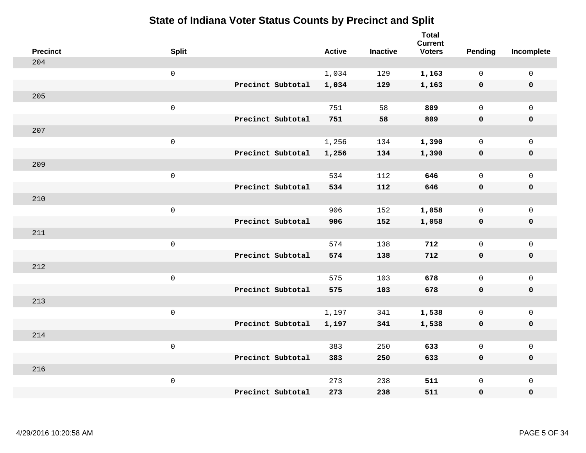| <b>Precinct</b> | <b>Split</b>        |                   | <b>Active</b> | <b>Inactive</b> | <b>Total</b><br><b>Current</b><br><b>Voters</b> | Pending      | Incomplete          |
|-----------------|---------------------|-------------------|---------------|-----------------|-------------------------------------------------|--------------|---------------------|
| 204             |                     |                   |               |                 |                                                 |              |                     |
|                 | $\mathsf{O}\xspace$ |                   | 1,034         | 129             | 1,163                                           | $\mathbf 0$  | $\mathsf{O}\xspace$ |
|                 |                     | Precinct Subtotal | 1,034         | 129             | 1,163                                           | $\mathbf 0$  | $\pmb{0}$           |
| 205             |                     |                   |               |                 |                                                 |              |                     |
|                 | $\mathsf{O}\xspace$ |                   | 751           | 58              | 809                                             | $\mathbf 0$  | $\mathbf{0}$        |
|                 |                     | Precinct Subtotal | 751           | 58              | 809                                             | $\mathbf 0$  | $\pmb{0}$           |
| 207             |                     |                   |               |                 |                                                 |              |                     |
|                 | $\mathsf 0$         |                   | 1,256         | 134             | 1,390                                           | 0            | $\mathsf{O}\xspace$ |
|                 |                     | Precinct Subtotal | 1,256         | 134             | 1,390                                           | $\mathbf 0$  | 0                   |
| 209             |                     |                   |               |                 |                                                 |              |                     |
|                 | $\mathsf{O}\xspace$ |                   | 534           | 112             | 646                                             | $\mathbf 0$  | $\mathsf{O}\xspace$ |
|                 |                     | Precinct Subtotal | 534           | 112             | 646                                             | 0            | 0                   |
| 210             |                     |                   |               |                 |                                                 |              |                     |
|                 | $\mathsf{O}\xspace$ |                   | 906           | 152             | 1,058                                           | $\mathbf 0$  | $\mathsf{O}\xspace$ |
|                 |                     | Precinct Subtotal | 906           | 152             | 1,058                                           | 0            | 0                   |
| 211             |                     |                   |               |                 |                                                 |              |                     |
|                 | $\mathsf{O}\xspace$ |                   | 574           | 138             | 712                                             | $\mathbf 0$  | $\mathsf{O}\xspace$ |
|                 |                     | Precinct Subtotal | 574           | 138             | 712                                             | $\mathbf 0$  | 0                   |
| 212             |                     |                   |               |                 |                                                 |              |                     |
|                 | $\mathsf{O}\xspace$ |                   | 575           | 103             | 678                                             | $\mathbf 0$  | $\mathsf{O}$        |
|                 |                     | Precinct Subtotal | 575           | 103             | 678                                             | 0            | 0                   |
| 213             |                     |                   |               |                 |                                                 |              |                     |
|                 | $\mathsf 0$         |                   | 1,197         | 341             | 1,538                                           | $\mathsf{O}$ | $\mathsf{O}\xspace$ |
|                 |                     | Precinct Subtotal | 1,197         | 341             | 1,538                                           | 0            | 0                   |
| 214             |                     |                   |               |                 |                                                 |              |                     |
|                 | $\mathsf 0$         |                   | 383           | 250             | 633                                             | $\mathsf{O}$ | $\mathsf{O}$        |
|                 |                     | Precinct Subtotal | 383           | 250             | 633                                             | 0            | 0                   |
| 216             |                     |                   |               |                 |                                                 |              |                     |
|                 | $\mathsf 0$         |                   | 273           | 238             | 511                                             | $\mathsf{O}$ | $\mathsf{O}$        |
|                 |                     | Precinct Subtotal | 273           | 238             | 511                                             | 0            | 0                   |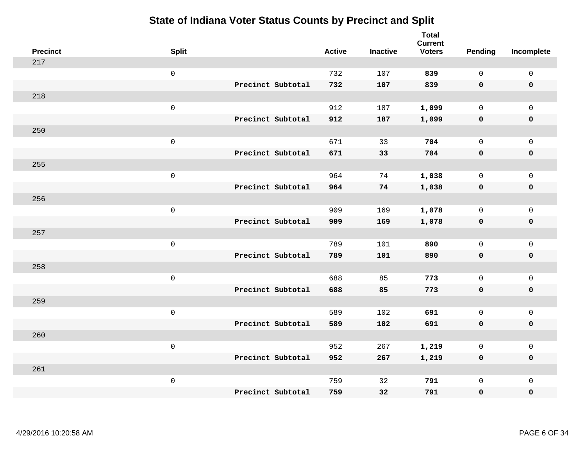| <b>Precinct</b> | <b>Split</b>        |                   | <b>Active</b> | <b>Inactive</b> | <b>Total</b><br><b>Current</b><br><b>Voters</b> | Pending      | Incomplete          |
|-----------------|---------------------|-------------------|---------------|-----------------|-------------------------------------------------|--------------|---------------------|
| 217             |                     |                   |               |                 |                                                 |              |                     |
|                 | $\mathsf{O}\xspace$ |                   | 732           | 107             | 839                                             | $\mathbf 0$  | $\mathsf{O}\xspace$ |
|                 |                     | Precinct Subtotal | 732           | 107             | 839                                             | $\mathbf 0$  | $\mathbf 0$         |
| 218             |                     |                   |               |                 |                                                 |              |                     |
|                 | $\mathsf{O}\xspace$ |                   | 912           | 187             | 1,099                                           | $\mathsf{O}$ | $\mathsf{O}$        |
|                 |                     | Precinct Subtotal | 912           | 187             | 1,099                                           | 0            | 0                   |
| 250             |                     |                   |               |                 |                                                 |              |                     |
|                 | $\mathsf 0$         |                   | 671           | 33              | 704                                             | $\mathbf 0$  | $\mathsf{O}$        |
|                 |                     | Precinct Subtotal | 671           | 33              | 704                                             | $\mathbf 0$  | 0                   |
| 255             |                     |                   |               |                 |                                                 |              |                     |
|                 | $\mathsf{O}\xspace$ |                   | 964           | 74              | 1,038                                           | $\mathbf 0$  | $\mathsf{O}\xspace$ |
|                 |                     | Precinct Subtotal | 964           | 74              | 1,038                                           | $\mathbf 0$  | $\pmb{0}$           |
| 256             |                     |                   |               |                 |                                                 |              |                     |
|                 | $\mathsf 0$         |                   | 909           | 169             | 1,078                                           | $\mathbf 0$  | $\mathsf{O}\xspace$ |
|                 |                     | Precinct Subtotal | 909           | 169             | 1,078                                           | 0            | $\pmb{0}$           |
| 257             |                     |                   |               |                 |                                                 |              |                     |
|                 | $\mathsf{O}\xspace$ |                   | 789           | 101             | 890                                             | $\mathbf 0$  | $\mathsf{O}$        |
|                 |                     | Precinct Subtotal | 789           | 101             | 890                                             | 0            | 0                   |
| 258             |                     |                   |               |                 |                                                 |              |                     |
|                 | $\mathsf{O}\xspace$ |                   | 688           | 85              | 773                                             | $\mathbf 0$  | $\mathsf{O}\xspace$ |
|                 |                     | Precinct Subtotal | 688           | 85              | 773                                             | 0            | 0                   |
| 259             |                     |                   |               |                 |                                                 |              |                     |
|                 | $\mathsf 0$         |                   | 589           | 102             | 691                                             | $\mathbf 0$  | $\mathsf{O}\xspace$ |
|                 |                     | Precinct Subtotal | 589           | 102             | 691                                             | $\mathbf 0$  | 0                   |
| 260             |                     |                   |               |                 |                                                 |              |                     |
|                 | $\mathsf 0$         |                   | 952           | 267             | 1,219                                           | 0            | $\mathsf{O}\xspace$ |
|                 |                     | Precinct Subtotal | 952           | 267             | 1,219                                           | 0            | 0                   |
| 261             |                     |                   |               |                 |                                                 |              |                     |
|                 | $\mathsf 0$         |                   | 759           | 32              | 791                                             | $\mathsf{O}$ | $\mathsf{O}$        |
|                 |                     | Precinct Subtotal | 759           | 32              | 791                                             | 0            | 0                   |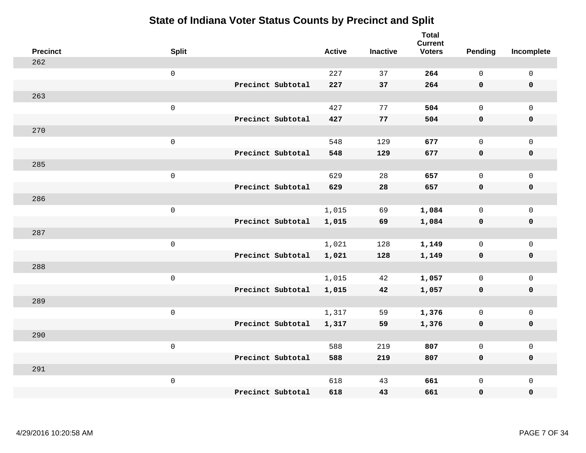| <b>Precinct</b> | <b>Split</b>        |                   | <b>Active</b> | <b>Inactive</b> | <b>Total</b><br><b>Current</b><br><b>Voters</b> | Pending      | Incomplete          |
|-----------------|---------------------|-------------------|---------------|-----------------|-------------------------------------------------|--------------|---------------------|
| 262             |                     |                   |               |                 |                                                 |              |                     |
|                 | $\mathsf 0$         |                   | 227           | 37              | 264                                             | $\mathbf 0$  | $\mathsf{O}\xspace$ |
|                 |                     | Precinct Subtotal | 227           | 37              | 264                                             | $\mathbf 0$  | $\mathbf 0$         |
| 263             |                     |                   |               |                 |                                                 |              |                     |
|                 | $\mathsf 0$         |                   | 427           | 77              | 504                                             | $\mathbf 0$  | $\mathsf{O}$        |
|                 |                     | Precinct Subtotal | 427           | 77              | 504                                             | $\mathbf 0$  | 0                   |
| 270             |                     |                   |               |                 |                                                 |              |                     |
|                 | $\mathsf 0$         |                   | 548           | 129             | 677                                             | $\mathbf 0$  | $\mathsf{O}$        |
|                 |                     | Precinct Subtotal | 548           | 129             | 677                                             | $\mathbf 0$  | 0                   |
| 285             |                     |                   |               |                 |                                                 |              |                     |
|                 | $\mathsf 0$         |                   | 629           | 28              | 657                                             | $\mathbf{0}$ | $\mathsf{O}\xspace$ |
|                 |                     | Precinct Subtotal | 629           | 28              | 657                                             | $\mathbf 0$  | $\pmb{0}$           |
| 286             |                     |                   |               |                 |                                                 |              |                     |
|                 | $\mathsf 0$         |                   | 1,015         | 69              | 1,084                                           | $\mathbf 0$  | $\mathsf{O}\xspace$ |
|                 |                     | Precinct Subtotal | 1,015         | 69              | 1,084                                           | 0            | $\pmb{0}$           |
| 287             |                     |                   |               |                 |                                                 |              |                     |
|                 | $\mathbf 0$         |                   | 1,021         | 128             | 1,149                                           | $\mathbf 0$  | $\mathsf{O}$        |
|                 |                     | Precinct Subtotal | 1,021         | 128             | 1,149                                           | $\mathbf 0$  | 0                   |
| 288             |                     |                   |               |                 |                                                 |              |                     |
|                 | $\mathbf 0$         |                   | 1,015         | 42              | 1,057                                           | $\mathbf 0$  | $\mathsf{O}\xspace$ |
|                 |                     | Precinct Subtotal | 1,015         | 42              | 1,057                                           | 0            | 0                   |
| 289             |                     |                   |               |                 |                                                 |              |                     |
|                 | $\mathsf{O}\xspace$ |                   | 1,317         | 59              | 1,376                                           | $\mathbf 0$  | $\mathsf{O}\xspace$ |
|                 |                     | Precinct Subtotal | 1,317         | 59              | 1,376                                           | $\mathbf 0$  | 0                   |
| 290             |                     |                   |               |                 |                                                 |              |                     |
|                 | $\mathbf 0$         |                   | 588           | 219             | 807                                             | $\mathbf 0$  | $\mathsf{O}\xspace$ |
|                 |                     | Precinct Subtotal | 588           | 219             | 807                                             | 0            | 0                   |
| 291             |                     |                   |               |                 |                                                 |              |                     |
|                 | $\mathbf 0$         |                   | 618           | 43              | 661                                             | $\mathsf{O}$ | $\mathsf{O}$        |
|                 |                     | Precinct Subtotal | 618           | 43              | 661                                             | 0            | 0                   |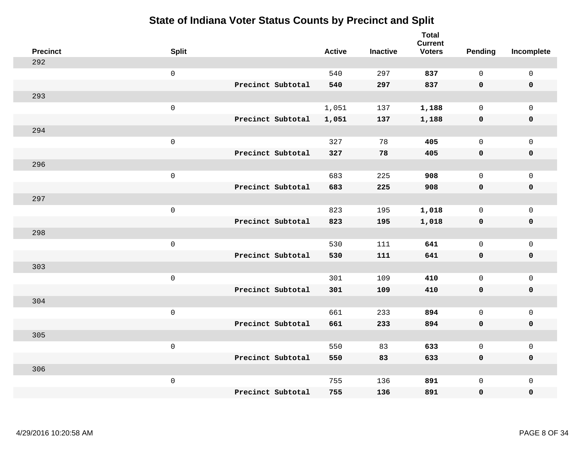| <b>Precinct</b> | <b>Split</b>        | <b>Active</b> | <b>Inactive</b> | <b>Total</b><br><b>Current</b><br><b>Voters</b> | Pending      | Incomplete          |
|-----------------|---------------------|---------------|-----------------|-------------------------------------------------|--------------|---------------------|
| 292             |                     |               |                 |                                                 |              |                     |
|                 | $\mathsf{O}\xspace$ | 540           | 297             | 837                                             | $\mathbf 0$  | $\mathsf{O}\xspace$ |
|                 | Precinct Subtotal   | 540           | 297             | 837                                             | $\mathbf 0$  | $\mathbf 0$         |
| 293             |                     |               |                 |                                                 |              |                     |
|                 | $\mathsf{O}\xspace$ | 1,051         | 137             | 1,188                                           | $\mathsf{O}$ | $\mathsf{O}$        |
|                 | Precinct Subtotal   | 1,051         | 137             | 1,188                                           | $\mathbf 0$  | 0                   |
| 294             |                     |               |                 |                                                 |              |                     |
|                 | $\mathsf 0$         | 327           | 78              | 405                                             | $\mathbf 0$  | $\mathsf{O}$        |
|                 | Precinct Subtotal   | 327           | 78              | 405                                             | $\mathbf 0$  | $\pmb{0}$           |
| 296             |                     |               |                 |                                                 |              |                     |
|                 | $\mathsf{O}\xspace$ | 683           | 225             | 908                                             | $\mathbf{0}$ | $\mathsf{O}\xspace$ |
|                 | Precinct Subtotal   | 683           | 225             | 908                                             | $\mathbf 0$  | $\pmb{0}$           |
| 297             |                     |               |                 |                                                 |              |                     |
|                 | $\mathsf 0$         | 823           | 195             | 1,018                                           | $\mathbf 0$  | $\mathsf{O}\xspace$ |
|                 | Precinct Subtotal   | 823           | 195             | 1,018                                           | 0            | $\pmb{0}$           |
| 298             |                     |               |                 |                                                 |              |                     |
|                 | $\mathsf{O}\xspace$ | 530           | 111             | 641                                             | $\mathbf 0$  | $\mathsf{O}\xspace$ |
|                 | Precinct Subtotal   | 530           | 111             | 641                                             | $\mathbf 0$  | 0                   |
| 303             |                     |               |                 |                                                 |              |                     |
|                 | $\mathsf{O}\xspace$ | 301           | 109             | 410                                             | $\mathbf 0$  | $\mathsf{O}\xspace$ |
|                 | Precinct Subtotal   | 301           | 109             | 410                                             | 0            | 0                   |
| 304             |                     |               |                 |                                                 |              |                     |
|                 | $\mathsf 0$         | 661           | 233             | 894                                             | $\mathbf 0$  | $\mathsf{O}\xspace$ |
|                 | Precinct Subtotal   | 661           | 233             | 894                                             | 0            | 0                   |
| 305             |                     |               |                 |                                                 |              |                     |
|                 | $\mathsf 0$         | 550           | 83              | 633                                             | $\mathsf{O}$ | $\mathsf{O}\xspace$ |
|                 | Precinct Subtotal   | 550           | 83              | 633                                             | 0            | 0                   |
| 306             |                     |               |                 |                                                 |              |                     |
|                 | $\mathsf 0$         | 755           | 136             | 891                                             | $\mathsf{O}$ | $\mathsf{O}$        |
|                 | Precinct Subtotal   | 755           | 136             | 891                                             | 0            | 0                   |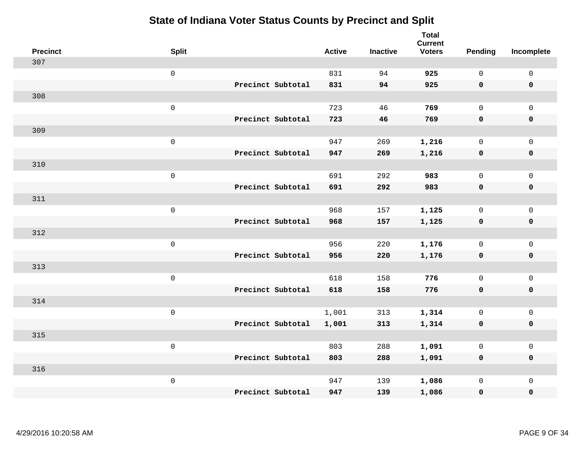| <b>Precinct</b> | <b>Split</b> |                   | <b>Active</b> | <b>Inactive</b> | <b>Total</b><br><b>Current</b><br><b>Voters</b> | <b>Pending</b> | Incomplete          |
|-----------------|--------------|-------------------|---------------|-----------------|-------------------------------------------------|----------------|---------------------|
| 307             |              |                   |               |                 |                                                 |                |                     |
|                 | $\mathsf 0$  |                   | 831           | 94              | 925                                             | $\mathsf{O}$   | $\mathsf 0$         |
|                 |              | Precinct Subtotal | 831           | 94              | 925                                             | $\mathbf 0$    | $\mathbf 0$         |
| 308             |              |                   |               |                 |                                                 |                |                     |
|                 | $\mathsf 0$  |                   | 723           | 46              | 769                                             | $\mathsf{O}$   | $\mathbf 0$         |
|                 |              | Precinct Subtotal | 723           | 46              | 769                                             | $\mathbf 0$    | $\pmb{0}$           |
| 309             |              |                   |               |                 |                                                 |                |                     |
|                 | $\mathsf 0$  |                   | 947           | 269             | 1,216                                           | $\mathsf{O}$   | $\mathbf 0$         |
|                 |              | Precinct Subtotal | 947           | 269             | 1,216                                           | $\mathbf 0$    | $\mathbf 0$         |
| 310             |              |                   |               |                 |                                                 |                |                     |
|                 | $\mathsf 0$  |                   | 691           | 292             | 983                                             | $\mathsf{O}$   | $\mathbf 0$         |
|                 |              | Precinct Subtotal | 691           | 292             | 983                                             | $\mathbf 0$    | $\mathbf 0$         |
| 311             |              |                   |               |                 |                                                 |                |                     |
|                 | $\mathsf 0$  |                   | 968           | 157             | 1,125                                           | $\mathbf 0$    | $\mathsf{O}\xspace$ |
|                 |              | Precinct Subtotal | 968           | 157             | 1,125                                           | $\mathbf 0$    | $\mathbf 0$         |
| 312             |              |                   |               |                 |                                                 |                |                     |
|                 | $\mathbf 0$  |                   | 956           | 220             | 1,176                                           | $\mathbf 0$    | $\mathbf 0$         |
|                 |              | Precinct Subtotal | 956           | 220             | 1,176                                           | $\mathbf 0$    | $\mathbf 0$         |
| 313             |              |                   |               |                 |                                                 |                |                     |
|                 | $\mathsf 0$  |                   | 618           | 158             | 776                                             | $\mathbf 0$    | $\mathsf{O}\xspace$ |
|                 |              | Precinct Subtotal | 618           | 158             | 776                                             | 0              | $\mathbf 0$         |
| 314             |              |                   |               |                 |                                                 |                |                     |
|                 | $\mathbf 0$  |                   | 1,001         | 313             | 1,314                                           | $\mathsf{O}$   | $\mathsf 0$         |
|                 |              | Precinct Subtotal | 1,001         | 313             | 1,314                                           | $\mathbf 0$    | $\mathbf 0$         |
| 315             |              |                   |               |                 |                                                 |                |                     |
|                 | $\mathsf 0$  |                   | 803           | 288             | 1,091                                           | $\mathbf 0$    | $\mathsf 0$         |
|                 |              | Precinct Subtotal | 803           | 288             | 1,091                                           | $\mathbf 0$    | $\mathbf 0$         |
| 316             |              |                   |               |                 |                                                 |                |                     |
|                 | $\mathbf 0$  |                   | 947           | 139             | 1,086                                           | $\mathsf{O}$   | $\mathbf 0$         |
|                 |              | Precinct Subtotal | 947           | 139             | 1,086                                           | 0              | $\pmb{0}$           |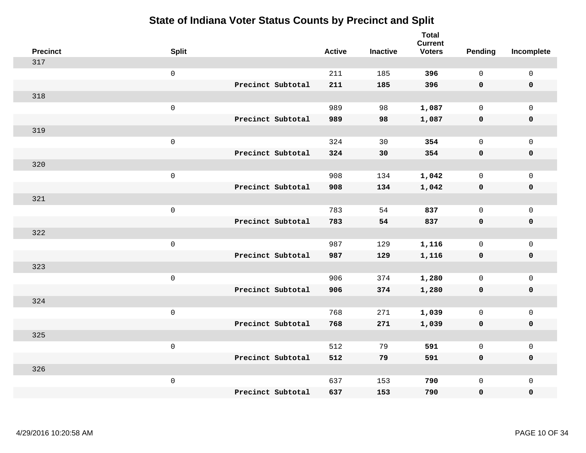| <b>Precinct</b> | <b>Split</b>        |                   | <b>Active</b> | <b>Inactive</b> | <b>Total</b><br><b>Current</b><br><b>Voters</b> | Pending      | Incomplete          |
|-----------------|---------------------|-------------------|---------------|-----------------|-------------------------------------------------|--------------|---------------------|
| 317             |                     |                   |               |                 |                                                 |              |                     |
|                 | $\mathsf 0$         |                   | 211           | 185             | 396                                             | $\mathbf 0$  | $\mathsf 0$         |
|                 |                     | Precinct Subtotal | 211           | 185             | 396                                             | $\mathbf 0$  | $\mathbf 0$         |
| 318             |                     |                   |               |                 |                                                 |              |                     |
|                 | $\mathsf 0$         |                   | 989           | 98              | 1,087                                           | $\mathbf 0$  | $\mathsf{O}$        |
|                 |                     | Precinct Subtotal | 989           | 98              | 1,087                                           | $\mathbf 0$  | 0                   |
| 319             |                     |                   |               |                 |                                                 |              |                     |
|                 | $\mathsf 0$         |                   | 324           | 30              | 354                                             | $\mathbf{0}$ | $\mathsf{O}$        |
|                 |                     | Precinct Subtotal | 324           | 30              | 354                                             | $\mathbf 0$  | $\pmb{0}$           |
| 320             |                     |                   |               |                 |                                                 |              |                     |
|                 | $\mathsf 0$         |                   | 908           | 134             | 1,042                                           | $\mathbf 0$  | $\mathsf{O}\xspace$ |
|                 |                     | Precinct Subtotal | 908           | 134             | 1,042                                           | $\mathbf 0$  | $\pmb{0}$           |
| 321             |                     |                   |               |                 |                                                 |              |                     |
|                 | $\mathbf 0$         |                   | 783           | 54              | 837                                             | $\mathbf 0$  | $\mathsf 0$         |
|                 |                     | Precinct Subtotal | 783           | 54              | 837                                             | 0            | $\pmb{0}$           |
| 322             |                     |                   |               |                 |                                                 |              |                     |
|                 | $\,0\,$             |                   | 987           | 129             | 1,116                                           | $\mathbf 0$  | $\mathsf{O}$        |
|                 |                     | Precinct Subtotal | 987           | 129             | 1,116                                           | $\mathbf 0$  | 0                   |
| 323             |                     |                   |               |                 |                                                 |              |                     |
|                 | $\mathbf 0$         |                   | 906           | 374             | 1,280                                           | $\mathbf 0$  | $\mathsf{O}\xspace$ |
|                 |                     | Precinct Subtotal | 906           | 374             | 1,280                                           | 0            | 0                   |
| 324             |                     |                   |               |                 |                                                 |              |                     |
|                 | $\mathsf{O}\xspace$ |                   | 768           | 271             | 1,039                                           | $\mathbf 0$  | $\mathsf{O}\xspace$ |
|                 |                     | Precinct Subtotal | 768           | 271             | 1,039                                           | $\mathbf 0$  | 0                   |
| 325             |                     |                   |               |                 |                                                 |              |                     |
|                 | $\mathbf 0$         |                   | 512           | 79              | 591                                             | $\mathbf 0$  | $\mathsf 0$         |
|                 |                     | Precinct Subtotal | 512           | 79              | 591                                             | 0            | 0                   |
| 326             |                     |                   |               |                 |                                                 |              |                     |
|                 | $\mathbf 0$         |                   | 637           | 153             | 790                                             | $\mathsf{O}$ | $\mathsf{O}$        |
|                 |                     | Precinct Subtotal | 637           | 153             | 790                                             | 0            | 0                   |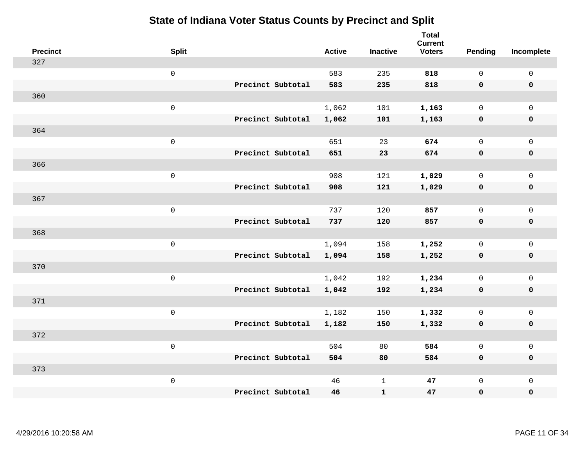| <b>Precinct</b> | <b>Split</b>        |                   | <b>Active</b> | <b>Inactive</b> | <b>Total</b><br><b>Current</b><br><b>Voters</b> | <b>Pending</b> | Incomplete          |
|-----------------|---------------------|-------------------|---------------|-----------------|-------------------------------------------------|----------------|---------------------|
| 327             |                     |                   |               |                 |                                                 |                |                     |
|                 | $\mathsf 0$         |                   | 583           | 235             | 818                                             | $\mathbf 0$    | $\mathsf 0$         |
|                 |                     | Precinct Subtotal | 583           | 235             | 818                                             | $\mathbf 0$    | $\mathbf 0$         |
| 360             |                     |                   |               |                 |                                                 |                |                     |
|                 | $\mathsf{O}$        |                   | 1,062         | 101             | 1,163                                           | $\mathbf 0$    | $\mathsf{O}$        |
|                 |                     | Precinct Subtotal | 1,062         | 101             | 1,163                                           | $\mathbf 0$    | 0                   |
| 364             |                     |                   |               |                 |                                                 |                |                     |
|                 | $\mathsf 0$         |                   | 651           | 23              | 674                                             | $\mathbf 0$    | $\mathsf{O}\xspace$ |
|                 |                     | Precinct Subtotal | 651           | 23              | 674                                             | $\mathbf 0$    | $\pmb{0}$           |
| 366             |                     |                   |               |                 |                                                 |                |                     |
|                 | $\mathsf{O}\xspace$ |                   | 908           | 121             | 1,029                                           | $\mathbf 0$    | $\mathsf{O}$        |
|                 |                     | Precinct Subtotal | 908           | 121             | 1,029                                           | $\mathbf 0$    | 0                   |
| 367             |                     |                   |               |                 |                                                 |                |                     |
|                 | $\mathbf 0$         |                   | 737           | 120             | 857                                             | $\mathbf 0$    | $\mathsf{O}\xspace$ |
|                 |                     | Precinct Subtotal | 737           | 120             | 857                                             | $\mathbf 0$    | 0                   |
| 368             |                     |                   |               |                 |                                                 |                |                     |
|                 | $\mathsf{O}\xspace$ |                   | 1,094         | 158             | 1,252                                           | $\mathbf 0$    | $\mathsf{O}\xspace$ |
|                 |                     | Precinct Subtotal | 1,094         | 158             | 1,252                                           | $\mathbf 0$    | 0                   |
| 370             |                     |                   |               |                 |                                                 |                |                     |
|                 | $\mathbf 0$         |                   | 1,042         | 192             | 1,234                                           | $\mathbf 0$    | $\mathsf{O}$        |
|                 |                     | Precinct Subtotal | 1,042         | 192             | 1,234                                           | 0              | 0                   |
| 371             |                     |                   |               |                 |                                                 |                |                     |
|                 | $\mathbf 0$         |                   | 1,182         | 150             | 1,332                                           | $\mathsf{O}$   | $\mathsf{O}$        |
|                 |                     | Precinct Subtotal | 1,182         | 150             | 1,332                                           | 0              | 0                   |
| 372             |                     |                   |               |                 |                                                 |                |                     |
|                 | $\mathbf 0$         |                   | 504           | 80              | 584                                             | $\mathbf 0$    | $\mathsf{O}$        |
|                 |                     | Precinct Subtotal | 504           | 80              | 584                                             | 0              | 0                   |
| 373             |                     |                   |               |                 |                                                 |                |                     |
|                 | $\mathbf 0$         |                   | 46            | $\mathbf 1$     | 47                                              | $\mathsf{O}$   | $\mathsf{O}$        |
|                 |                     | Precinct Subtotal | 46            | ${\bf 1}$       | 47                                              | 0              | 0                   |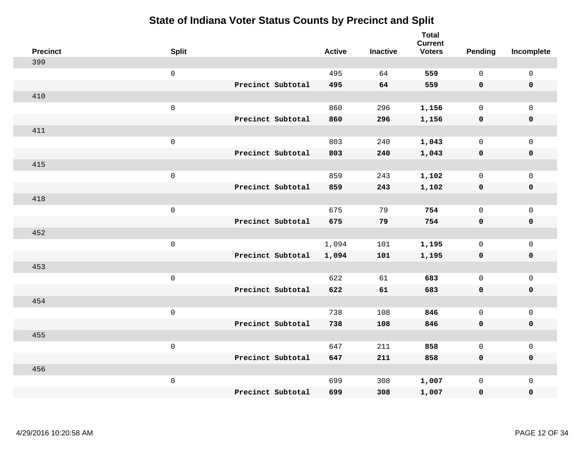| <b>Precinct</b> | <b>Split</b>        | <b>Active</b> | <b>Inactive</b> | <b>Total</b><br><b>Current</b><br><b>Voters</b> | <b>Pending</b> | Incomplete          |
|-----------------|---------------------|---------------|-----------------|-------------------------------------------------|----------------|---------------------|
| 399             |                     |               |                 |                                                 |                |                     |
|                 | $\mathsf 0$         | 495           | 64              | 559                                             | $\mathsf{O}$   | $\mathsf 0$         |
|                 | Precinct Subtotal   | 495           | 64              | 559                                             | $\mathbf 0$    | $\mathbf 0$         |
| 410             |                     |               |                 |                                                 |                |                     |
|                 | $\mathsf{O}\xspace$ | 860           | 296             | 1,156                                           | $\mathbf{0}$   | $\mathsf{O}$        |
|                 | Precinct Subtotal   | 860           | 296             | 1,156                                           | $\mathbf 0$    | 0                   |
| 411             |                     |               |                 |                                                 |                |                     |
|                 | $\mathsf 0$         | 803           | 240             | 1,043                                           | $\mathbf 0$    | $\mathsf{O}\xspace$ |
|                 | Precinct Subtotal   | 803           | 240             | 1,043                                           | $\mathbf 0$    | $\pmb{0}$           |
| 415             |                     |               |                 |                                                 |                |                     |
|                 | $\mathsf{O}\xspace$ | 859           | 243             | 1,102                                           | $\mathbf 0$    | $\mathsf{O}$        |
|                 | Precinct Subtotal   | 859           | 243             | 1,102                                           | $\mathbf 0$    | 0                   |
| 418             |                     |               |                 |                                                 |                |                     |
|                 | $\mathsf{O}\xspace$ | 675           | 79              | 754                                             | $\mathbf 0$    | $\mathsf{O}\xspace$ |
|                 | Precinct Subtotal   | 675           | 79              | 754                                             | 0              | 0                   |
| 452             |                     |               |                 |                                                 |                |                     |
|                 | $\mathsf 0$         | 1,094         | 101             | 1,195                                           | $\mathbf 0$    | $\mathsf{O}\xspace$ |
|                 | Precinct Subtotal   | 1,094         | 101             | 1,195                                           | $\mathbf 0$    | 0                   |
| 453             |                     |               |                 |                                                 |                |                     |
|                 | $\mathsf 0$         | 622           | 61              | 683                                             | $\mathsf{O}$   | $\mathsf{O}$        |
|                 | Precinct Subtotal   | 622           | 61              | 683                                             | $\mathbf 0$    | 0                   |
| 454             |                     |               |                 |                                                 |                |                     |
|                 | $\mathsf{O}\xspace$ | 738           | 108             | 846                                             | $\mathsf{O}$   | $\mathsf{O}$        |
|                 | Precinct Subtotal   | 738           | 108             | 846                                             | 0              | 0                   |
| 455             |                     |               |                 |                                                 |                |                     |
|                 | $\mathsf 0$         | 647           | 211             | 858                                             | $\mathbf 0$    | $\mathsf{O}$        |
|                 | Precinct Subtotal   | 647           | 211             | 858                                             | 0              | 0                   |
| 456             |                     |               |                 |                                                 |                |                     |
|                 | $\mathsf 0$         | 699           | 308             | 1,007                                           | $\mathsf{O}$   | $\mathsf{O}$        |
|                 | Precinct Subtotal   | 699           | 308             | 1,007                                           | 0              | 0                   |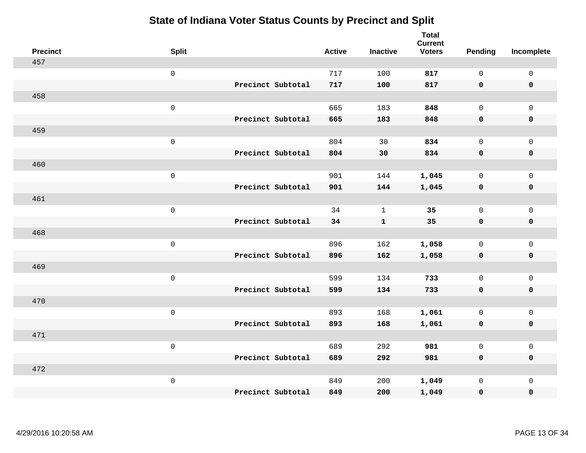| <b>Precinct</b> | <b>Split</b>        |                   | <b>Active</b> | <b>Inactive</b> | <b>Total</b><br><b>Current</b><br><b>Voters</b> | Pending      | Incomplete          |
|-----------------|---------------------|-------------------|---------------|-----------------|-------------------------------------------------|--------------|---------------------|
| 457             |                     |                   |               |                 |                                                 |              |                     |
|                 | $\mathsf 0$         |                   | 717           | 100             | 817                                             | $\mathbf 0$  | $\mathsf 0$         |
|                 |                     | Precinct Subtotal | 717           | 100             | 817                                             | $\mathbf 0$  | $\mathbf 0$         |
| 458             |                     |                   |               |                 |                                                 |              |                     |
|                 | $\mathsf{O}\xspace$ |                   | 665           | 183             | 848                                             | $\mathsf{O}$ | $\mathsf{O}$        |
|                 |                     | Precinct Subtotal | 665           | 183             | 848                                             | $\mathbf 0$  | 0                   |
| 459             |                     |                   |               |                 |                                                 |              |                     |
|                 | $\mathsf 0$         |                   | 804           | 30              | 834                                             | $\mathbf 0$  | $\mathsf{O}$        |
|                 |                     | Precinct Subtotal | 804           | 30              | 834                                             | $\mathbf 0$  | $\pmb{0}$           |
| 460             |                     |                   |               |                 |                                                 |              |                     |
|                 | $\mathsf{O}\xspace$ |                   | 901           | 144             | 1,045                                           | $\mathbf 0$  | $\mathsf{O}\xspace$ |
|                 |                     | Precinct Subtotal | 901           | 144             | 1,045                                           | $\mathbf 0$  | $\pmb{0}$           |
| 461             |                     |                   |               |                 |                                                 |              |                     |
|                 | $\mathsf 0$         |                   | 34            | $\mathbf{1}$    | 35                                              | $\mathbf 0$  | $\mathsf 0$         |
|                 |                     | Precinct Subtotal | 34            | $\mathbf{1}$    | 35                                              | 0            | $\mathbf 0$         |
| 468             |                     |                   |               |                 |                                                 |              |                     |
|                 | $\mathsf{O}\xspace$ |                   | 896           | 162             | 1,058                                           | $\mathbf 0$  | $\mathsf{O}\xspace$ |
|                 |                     | Precinct Subtotal | 896           | 162             | 1,058                                           | 0            | 0                   |
| 469             |                     |                   |               |                 |                                                 |              |                     |
|                 | $\mathsf{O}\xspace$ |                   | 599           | 134             | 733                                             | $\mathbf 0$  | $\mathsf{O}\xspace$ |
|                 |                     | Precinct Subtotal | 599           | 134             | 733                                             | 0            | 0                   |
| 470             |                     |                   |               |                 |                                                 |              |                     |
|                 | $\mathsf 0$         |                   | 893           | 168             | 1,061                                           | $\mathbf 0$  | $\mathsf{O}\xspace$ |
|                 |                     | Precinct Subtotal | 893           | 168             | 1,061                                           | $\mathbf 0$  | 0                   |
| 471             |                     |                   |               |                 |                                                 |              |                     |
|                 | $\mathsf 0$         |                   | 689           | 292             | 981                                             | $\mathsf{O}$ | $\mathsf 0$         |
|                 |                     | Precinct Subtotal | 689           | 292             | 981                                             | 0            | 0                   |
| 472             |                     |                   |               |                 |                                                 |              |                     |
|                 | $\mathsf 0$         |                   | 849           | 200             | 1,049                                           | $\mathsf{O}$ | $\mathsf{O}$        |
|                 |                     | Precinct Subtotal | 849           | 200             | 1,049                                           | 0            | 0                   |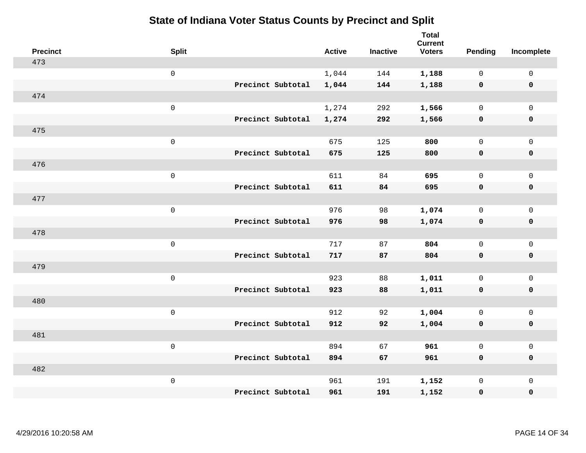| <b>Precinct</b> | <b>Split</b>        |                   | <b>Active</b> | <b>Inactive</b> | <b>Total</b><br><b>Current</b><br><b>Voters</b> | Pending      | Incomplete          |
|-----------------|---------------------|-------------------|---------------|-----------------|-------------------------------------------------|--------------|---------------------|
| 473             |                     |                   |               |                 |                                                 |              |                     |
|                 | $\mathsf{O}\xspace$ |                   | 1,044         | 144             | 1,188                                           | $\mathbf 0$  | $\mathsf{O}\xspace$ |
|                 |                     | Precinct Subtotal | 1,044         | 144             | 1,188                                           | $\mathbf 0$  | $\pmb{0}$           |
| 474             |                     |                   |               |                 |                                                 |              |                     |
|                 | $\mathsf{O}\xspace$ |                   | 1,274         | 292             | 1,566                                           | $\mathbf 0$  | $\mathbf{0}$        |
|                 |                     | Precinct Subtotal | 1,274         | 292             | 1,566                                           | $\mathbf 0$  | $\pmb{0}$           |
| 475             |                     |                   |               |                 |                                                 |              |                     |
|                 | $\mathsf 0$         |                   | 675           | 125             | 800                                             | $\mathsf{O}$ | $\mathsf{O}\xspace$ |
|                 |                     | Precinct Subtotal | 675           | 125             | 800                                             | 0            | 0                   |
| 476             |                     |                   |               |                 |                                                 |              |                     |
|                 | $\mathsf{O}\xspace$ |                   | 611           | 84              | 695                                             | $\mathsf{O}$ | $\mathsf{O}\xspace$ |
|                 |                     | Precinct Subtotal | 611           | 84              | 695                                             | $\mathbf 0$  | 0                   |
| 477             |                     |                   |               |                 |                                                 |              |                     |
|                 | $\mathsf{O}\xspace$ |                   | 976           | 98              | 1,074                                           | $\mathsf{O}$ | $\mathsf{O}\xspace$ |
|                 |                     | Precinct Subtotal | 976           | 98              | 1,074                                           | 0            | 0                   |
| 478             |                     |                   |               |                 |                                                 |              |                     |
|                 | $\mathsf{O}\xspace$ |                   | 717           | 87              | 804                                             | $\mathsf{O}$ | $\mathsf{O}\xspace$ |
|                 |                     | Precinct Subtotal | 717           | 87              | 804                                             | $\mathbf 0$  | 0                   |
| 479             |                     |                   |               |                 |                                                 |              |                     |
|                 | $\mathsf{O}\xspace$ |                   | 923           | 88              | 1,011                                           | $\mathbf 0$  | $\mathsf{O}$        |
|                 |                     | Precinct Subtotal | 923           | 88              | 1,011                                           | $\mathbf 0$  | 0                   |
| 480             |                     |                   |               |                 |                                                 |              |                     |
|                 | $\mathsf 0$         |                   | 912           | 92              | 1,004                                           | $\mathsf{O}$ | $\mathsf{O}\xspace$ |
|                 |                     | Precinct Subtotal | 912           | 92              | 1,004                                           | 0            | 0                   |
| 481             |                     |                   |               |                 |                                                 |              |                     |
|                 | $\mathsf 0$         |                   | 894           | 67              | 961                                             | $\mathsf{O}$ | $\mathsf{O}\xspace$ |
|                 |                     | Precinct Subtotal | 894           | 67              | 961                                             | 0            | 0                   |
| 482             |                     |                   |               |                 |                                                 |              |                     |
|                 | $\mathsf 0$         |                   | 961           | 191             | 1,152                                           | $\mathsf{O}$ | $\mathsf{O}$        |
|                 |                     | Precinct Subtotal | 961           | 191             | 1,152                                           | 0            | 0                   |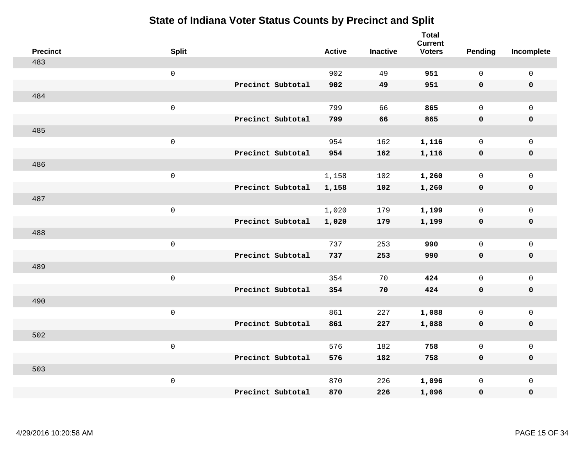| <b>Precinct</b> | <b>Split</b>        |                   | <b>Active</b> | <b>Inactive</b> | <b>Total</b><br><b>Current</b><br><b>Voters</b> | <b>Pending</b> | Incomplete          |
|-----------------|---------------------|-------------------|---------------|-----------------|-------------------------------------------------|----------------|---------------------|
| 483             |                     |                   |               |                 |                                                 |                |                     |
|                 | $\mathsf{O}\xspace$ |                   | 902           | 49              | 951                                             | $\mathsf{O}$   | $\mathsf 0$         |
|                 |                     | Precinct Subtotal | 902           | 49              | 951                                             | $\mathbf 0$    | $\mathbf 0$         |
| 484             |                     |                   |               |                 |                                                 |                |                     |
|                 | $\mathsf{O}\xspace$ |                   | 799           | 66              | 865                                             | $\mathbf{0}$   | $\mathsf{O}$        |
|                 |                     | Precinct Subtotal | 799           | 66              | 865                                             | $\mathbf 0$    | 0                   |
| 485             |                     |                   |               |                 |                                                 |                |                     |
|                 | $\mathsf 0$         |                   | 954           | 162             | 1,116                                           | $\mathbf{0}$   | $\mathsf{O}\xspace$ |
|                 |                     | Precinct Subtotal | 954           | 162             | 1,116                                           | $\mathbf 0$    | $\pmb{0}$           |
| 486             |                     |                   |               |                 |                                                 |                |                     |
|                 | $\mathsf{O}\xspace$ |                   | 1,158         | 102             | 1,260                                           | $\mathsf{O}$   | $\mathsf{O}$        |
|                 |                     | Precinct Subtotal | 1,158         | 102             | 1,260                                           | 0              | 0                   |
| 487             |                     |                   |               |                 |                                                 |                |                     |
|                 | $\mathsf{O}\xspace$ |                   | 1,020         | 179             | 1,199                                           | $\mathbf 0$    | $\mathsf{O}\xspace$ |
|                 |                     | Precinct Subtotal | 1,020         | 179             | 1,199                                           | 0              | 0                   |
| 488             |                     |                   |               |                 |                                                 |                |                     |
|                 | $\mathsf 0$         |                   | 737           | 253             | 990                                             | $\mathbf 0$    | $\mathsf{O}$        |
|                 |                     | Precinct Subtotal | 737           | 253             | 990                                             | 0              | 0                   |
| 489             |                     |                   |               |                 |                                                 |                |                     |
|                 | $\mathsf{O}\xspace$ |                   | 354           | 70              | 424                                             | $\mathsf{O}$   | $\mathsf{O}$        |
|                 |                     | Precinct Subtotal | 354           | 70              | 424                                             | $\mathbf 0$    | 0                   |
| 490             |                     |                   |               |                 |                                                 |                |                     |
|                 | $\mathsf 0$         |                   | 861           | 227             | 1,088                                           | $\mathsf{O}$   | $\mathsf{O}$        |
|                 |                     | Precinct Subtotal | 861           | 227             | 1,088                                           | 0              | 0                   |
| 502             |                     |                   |               |                 |                                                 |                |                     |
|                 | $\mathsf 0$         |                   | 576           | 182             | 758                                             | $\mathbf 0$    | $\mathsf{O}$        |
|                 |                     | Precinct Subtotal | 576           | 182             | 758                                             | 0              | 0                   |
| 503             |                     |                   |               |                 |                                                 |                |                     |
|                 | $\mathsf 0$         |                   | 870           | 226             | 1,096                                           | $\mathsf{O}$   | $\mathsf{O}$        |
|                 |                     | Precinct Subtotal | 870           | 226             | 1,096                                           | 0              | 0                   |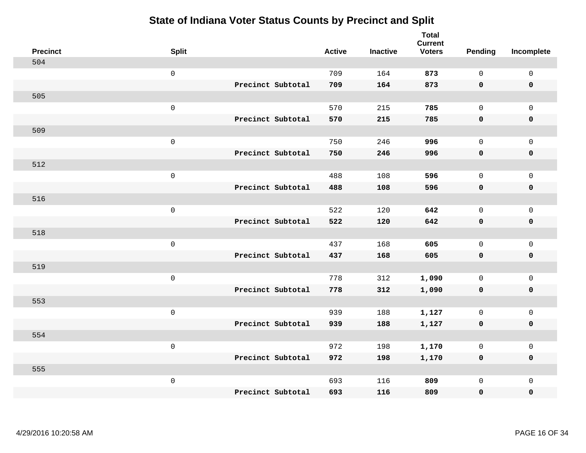| <b>Precinct</b> | <b>Split</b>        |                   | <b>Active</b> | <b>Inactive</b> | <b>Total</b><br><b>Current</b><br><b>Voters</b> | <b>Pending</b> | Incomplete          |
|-----------------|---------------------|-------------------|---------------|-----------------|-------------------------------------------------|----------------|---------------------|
| 504             |                     |                   |               |                 |                                                 |                |                     |
|                 | $\mathsf{O}\xspace$ |                   | 709           | 164             | 873                                             | $\mathbf 0$    | $\mathsf 0$         |
|                 |                     | Precinct Subtotal | 709           | 164             | 873                                             | $\mathbf 0$    | $\mathbf 0$         |
| 505             |                     |                   |               |                 |                                                 |                |                     |
|                 | $\mathsf 0$         |                   | 570           | 215             | 785                                             | $\mathbf 0$    | $\mathbf 0$         |
|                 |                     | Precinct Subtotal | 570           | 215             | 785                                             | $\mathbf 0$    | $\pmb{0}$           |
| 509             |                     |                   |               |                 |                                                 |                |                     |
|                 | $\mathsf 0$         |                   | 750           | 246             | 996                                             | $\mathbf 0$    | $\mathsf{O}\xspace$ |
|                 |                     | Precinct Subtotal | 750           | 246             | 996                                             | $\mathbf 0$    | $\mathbf 0$         |
| 512             |                     |                   |               |                 |                                                 |                |                     |
|                 | $\mathbf 0$         |                   | 488           | 108             | 596                                             | $\mathbf 0$    | $\mathbf 0$         |
|                 |                     | Precinct Subtotal | 488           | 108             | 596                                             | $\mathbf 0$    | $\mathbf 0$         |
| 516             |                     |                   |               |                 |                                                 |                |                     |
|                 | $\mathsf 0$         |                   | 522           | 120             | 642                                             | $\Omega$       | $\mathbf{0}$        |
|                 |                     | Precinct Subtotal | 522           | 120             | 642                                             | $\mathbf 0$    | $\mathbf 0$         |
| 518             |                     |                   |               |                 |                                                 |                |                     |
|                 | $\mathbf 0$         |                   | 437           | 168             | 605                                             | $\mathbf 0$    | $\mathsf 0$         |
|                 |                     | Precinct Subtotal | 437           | 168             | 605                                             | $\mathbf 0$    | $\mathbf 0$         |
| 519             |                     |                   |               |                 |                                                 |                |                     |
|                 | $\mathbf 0$         |                   | 778           | 312             | 1,090                                           | $\mathbf 0$    | $\mathsf 0$         |
|                 |                     | Precinct Subtotal | 778           | 312             | 1,090                                           | 0              | $\mathbf 0$         |
| 553             |                     |                   |               |                 |                                                 |                |                     |
|                 | $\mathbf 0$         |                   | 939           | 188             | 1,127                                           | $\mathbf 0$    | $\mathsf 0$         |
|                 |                     | Precinct Subtotal | 939           | 188             | 1,127                                           | $\mathbf 0$    | $\mathbf 0$         |
| 554             |                     |                   |               |                 |                                                 |                |                     |
|                 | $\mathsf 0$         |                   | 972           | 198             | 1,170                                           | 0              | $\mathsf 0$         |
|                 |                     | Precinct Subtotal | 972           | 198             | 1,170                                           | $\mathbf 0$    | $\mathbf 0$         |
| 555             |                     |                   |               |                 |                                                 |                |                     |
|                 | $\mathbf 0$         |                   | 693           | 116             | 809                                             | $\mathbf 0$    | $\mathbf 0$         |
|                 |                     | Precinct Subtotal | 693           | 116             | 809                                             | $\mathbf 0$    | $\pmb{0}$           |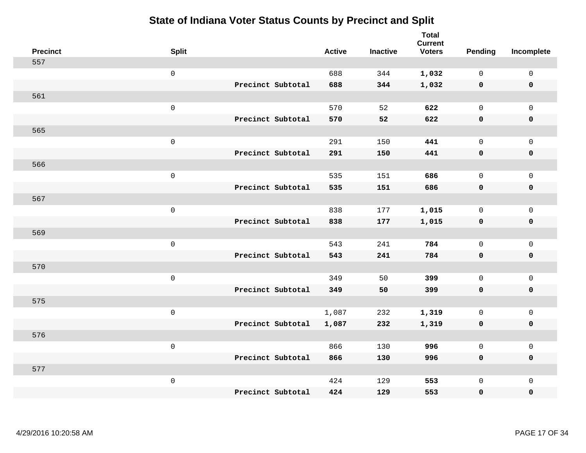| <b>Precinct</b> | <b>Split</b>        |                   | <b>Active</b> | <b>Inactive</b> | <b>Total</b><br><b>Current</b><br><b>Voters</b> | Pending      | Incomplete          |
|-----------------|---------------------|-------------------|---------------|-----------------|-------------------------------------------------|--------------|---------------------|
| 557             |                     |                   |               |                 |                                                 |              |                     |
|                 | $\mathsf{O}$        |                   | 688           | 344             | 1,032                                           | $\mathbf 0$  | 0                   |
|                 |                     | Precinct Subtotal | 688           | 344             | 1,032                                           | $\mathbf 0$  | $\pmb{0}$           |
| 561             |                     |                   |               |                 |                                                 |              |                     |
|                 | $\mathsf 0$         |                   | 570           | 52              | 622                                             | $\mathbf 0$  | $\mathbf{0}$        |
|                 |                     | Precinct Subtotal | 570           | 52              | 622                                             | $\mathbf 0$  | $\pmb{0}$           |
| 565             |                     |                   |               |                 |                                                 |              |                     |
|                 | $\mathsf 0$         |                   | 291           | 150             | 441                                             | $\mathbf 0$  | $\mathsf{O}$        |
|                 |                     | Precinct Subtotal | 291           | 150             | 441                                             | 0            | 0                   |
| 566             |                     |                   |               |                 |                                                 |              |                     |
|                 | $\mathbf 0$         |                   | 535           | 151             | 686                                             | $\mathbf 0$  | $\mathsf{O}\xspace$ |
|                 |                     | Precinct Subtotal | 535           | 151             | 686                                             | 0            | 0                   |
| 567             |                     |                   |               |                 |                                                 |              |                     |
|                 | $\mathbf 0$         |                   | 838           | 177             | 1,015                                           | $\mathbf 0$  | $\mathsf{O}\xspace$ |
|                 |                     | Precinct Subtotal | 838           | 177             | 1,015                                           | 0            | 0                   |
| 569             |                     |                   |               |                 |                                                 |              |                     |
|                 | $\mathsf{O}\xspace$ |                   | 543           | 241             | 784                                             | $\mathbf 0$  | $\mathsf{O}\xspace$ |
|                 |                     | Precinct Subtotal | 543           | 241             | 784                                             | 0            | 0                   |
| 570             |                     |                   |               |                 |                                                 |              |                     |
|                 | $\mathbf 0$         |                   | 349           | 50              | 399                                             | $\mathbf 0$  | $\mathsf{O}$        |
|                 |                     | Precinct Subtotal | 349           | 50              | 399                                             | 0            | 0                   |
| 575             |                     |                   |               |                 |                                                 |              |                     |
|                 | $\mathsf{O}\xspace$ |                   | 1,087         | 232             | 1,319                                           | 0            | $\mathsf 0$         |
|                 |                     | Precinct Subtotal | 1,087         | 232             | 1,319                                           | 0            | 0                   |
| 576             |                     |                   |               |                 |                                                 |              |                     |
|                 | $\mathsf 0$         |                   | 866           | 130             | 996                                             | $\mathsf{O}$ | $\mathsf{O}$        |
|                 |                     | Precinct Subtotal | 866           | 130             | 996                                             | 0            | 0                   |
| 577             |                     |                   |               |                 |                                                 |              |                     |
|                 | $\mathbf 0$         |                   | 424           | 129             | 553                                             | $\mathsf{O}$ | $\mathsf{O}$        |
|                 |                     | Precinct Subtotal | 424           | 129             | 553                                             | 0            | 0                   |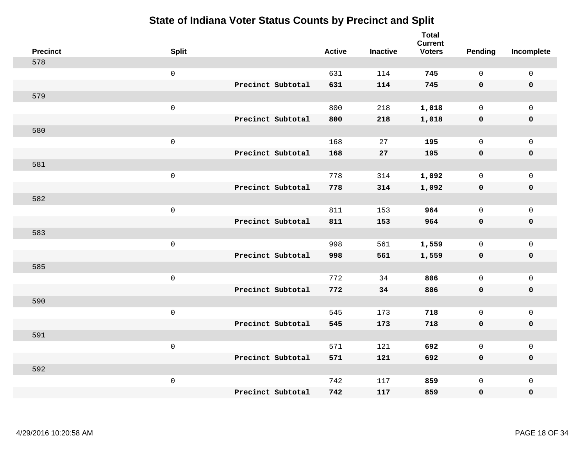| <b>Precinct</b> | <b>Split</b> |                   | <b>Active</b> | <b>Inactive</b> | <b>Total</b><br><b>Current</b><br><b>Voters</b> | <b>Pending</b> | Incomplete  |
|-----------------|--------------|-------------------|---------------|-----------------|-------------------------------------------------|----------------|-------------|
| 578             |              |                   |               |                 |                                                 |                |             |
|                 | $\mathsf 0$  |                   | 631           | 114             | 745                                             | $\mathsf{O}$   | $\mathsf 0$ |
|                 |              | Precinct Subtotal | 631           | 114             | 745                                             | $\mathbf 0$    | $\mathbf 0$ |
| 579             |              |                   |               |                 |                                                 |                |             |
|                 | $\mathsf 0$  |                   | 800           | 218             | 1,018                                           | $\mathsf{O}$   | $\mathbf 0$ |
|                 |              | Precinct Subtotal | 800           | 218             | 1,018                                           | $\mathbf 0$    | $\mathbf 0$ |
| 580             |              |                   |               |                 |                                                 |                |             |
|                 | $\mathsf 0$  |                   | 168           | 27              | 195                                             | $\mathsf{O}$   | $\mathbf 0$ |
|                 |              | Precinct Subtotal | 168           | 27              | 195                                             | $\mathbf 0$    | $\mathbf 0$ |
| 581             |              |                   |               |                 |                                                 |                |             |
|                 | $\mathsf 0$  |                   | 778           | 314             | 1,092                                           | $\mathsf{O}$   | $\mathbf 0$ |
|                 |              | Precinct Subtotal | 778           | 314             | 1,092                                           | $\mathbf 0$    | $\pmb{0}$   |
| 582             |              |                   |               |                 |                                                 |                |             |
|                 | $\mathsf 0$  |                   | 811           | 153             | 964                                             | $\mathbf 0$    | $\mathsf 0$ |
|                 |              | Precinct Subtotal | 811           | 153             | 964                                             | $\mathbf 0$    | $\mathbf 0$ |
| 583             |              |                   |               |                 |                                                 |                |             |
|                 | $\mathbf 0$  |                   | 998           | 561             | 1,559                                           | $\mathbf 0$    | $\mathbf 0$ |
|                 |              | Precinct Subtotal | 998           | 561             | 1,559                                           | $\mathbf 0$    | $\mathbf 0$ |
| 585             |              |                   |               |                 |                                                 |                |             |
|                 | $\mathbf 0$  |                   | 772           | 34              | 806                                             | $\mathbf 0$    | $\mathbf 0$ |
|                 |              | Precinct Subtotal | 772           | 34              | 806                                             | 0              | $\mathbf 0$ |
| 590             |              |                   |               |                 |                                                 |                |             |
|                 | $\mathbf 0$  |                   | 545           | 173             | 718                                             | $\mathbf 0$    | $\mathsf 0$ |
|                 |              | Precinct Subtotal | 545           | 173             | 718                                             | $\mathbf 0$    | $\mathbf 0$ |
| 591             |              |                   |               |                 |                                                 |                |             |
|                 | $\mathsf 0$  |                   | 571           | 121             | 692                                             | $\mathbf 0$    | $\mathsf 0$ |
|                 |              | Precinct Subtotal | 571           | 121             | 692                                             | $\mathbf 0$    | $\mathbf 0$ |
| 592             |              |                   |               |                 |                                                 |                |             |
|                 | $\mathbf 0$  |                   | 742           | 117             | 859                                             | $\mathbf 0$    | $\mathbf 0$ |
|                 |              | Precinct Subtotal | 742           | 117             | 859                                             | 0              | $\pmb{0}$   |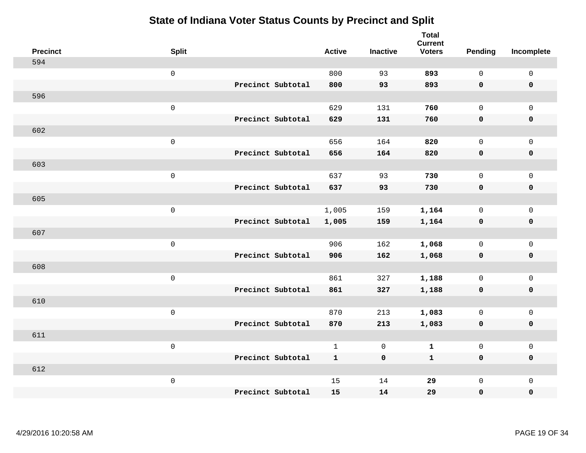| <b>Precinct</b> | <b>Split</b>      | <b>Active</b> | <b>Inactive</b> | <b>Total</b><br><b>Current</b><br><b>Voters</b> | <b>Pending</b> | Incomplete  |
|-----------------|-------------------|---------------|-----------------|-------------------------------------------------|----------------|-------------|
| 594             |                   |               |                 |                                                 |                |             |
|                 | $\mathsf 0$       | 800           | 93              | 893                                             | $\mathbf 0$    | $\mathsf 0$ |
|                 | Precinct Subtotal | 800           | 93              | 893                                             | $\mathbf 0$    | $\mathbf 0$ |
| 596             |                   |               |                 |                                                 |                |             |
|                 | $\mathsf 0$       | 629           | 131             | 760                                             | $\mathsf{O}$   | $\mathbf 0$ |
|                 | Precinct Subtotal | 629           | 131             | 760                                             | $\mathbf 0$    | $\pmb{0}$   |
| 602             |                   |               |                 |                                                 |                |             |
|                 | $\mathsf 0$       | 656           | 164             | 820                                             | $\mathbf 0$    | $\mathsf 0$ |
|                 | Precinct Subtotal | 656           | 164             | 820                                             | $\mathbf 0$    | $\mathbf 0$ |
| 603             |                   |               |                 |                                                 |                |             |
|                 | $\mathbf 0$       | 637           | 93              | 730                                             | $\mathbf 0$    | $\mathbf 0$ |
|                 | Precinct Subtotal | 637           | 93              | 730                                             | $\mathbf 0$    | $\mathbf 0$ |
| 605             |                   |               |                 |                                                 |                |             |
|                 | $\mathsf 0$       | 1,005         | 159             | 1,164                                           | $\mathbf 0$    | $\mathbf 0$ |
|                 | Precinct Subtotal | 1,005         | 159             | 1,164                                           | 0              | $\mathbf 0$ |
| 607             |                   |               |                 |                                                 |                |             |
|                 | $\mathbf 0$       | 906           | 162             | 1,068                                           | $\mathsf{O}$   | $\mathsf 0$ |
|                 | Precinct Subtotal | 906           | 162             | 1,068                                           | $\mathbf 0$    | $\mathbf 0$ |
| 608             |                   |               |                 |                                                 |                |             |
|                 | $\mathbf 0$       | 861           | 327             | 1,188                                           | $\mathbf 0$    | $\mathsf 0$ |
|                 | Precinct Subtotal | 861           | 327             | 1,188                                           | 0              | $\mathbf 0$ |
| 610             |                   |               |                 |                                                 |                |             |
|                 | $\mathbf 0$       | 870           | 213             | 1,083                                           | $\mathbf 0$    | $\mathsf 0$ |
|                 | Precinct Subtotal | 870           | 213             | 1,083                                           | $\mathbf 0$    | $\mathbf 0$ |
| 611             |                   |               |                 |                                                 |                |             |
|                 | $\mathsf 0$       | $\mathbf{1}$  | $\mathsf{O}$    | $\mathbf 1$                                     | $\mathsf{O}$   | $\mathsf 0$ |
|                 | Precinct Subtotal | $\mathbf{1}$  | $\mathbf 0$     | $\mathbf{1}$                                    | $\mathbf 0$    | $\mathbf 0$ |
| 612             |                   |               |                 |                                                 |                |             |
|                 | $\mathbf 0$       | 15            | 14              | 29                                              | $\mathsf{O}$   | $\mathbf 0$ |
|                 | Precinct Subtotal | 15            | 14              | 29                                              | 0              | $\pmb{0}$   |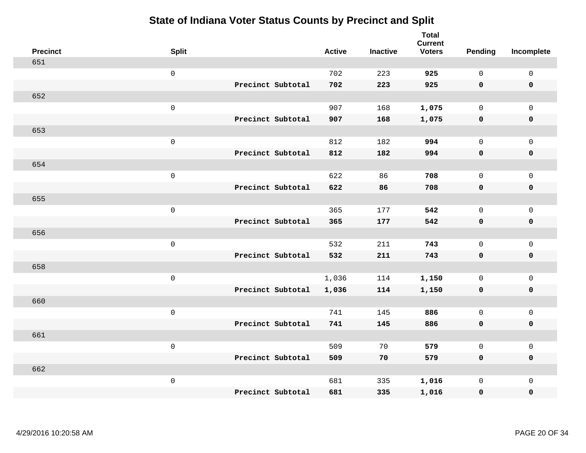| <b>Precinct</b> | <b>Split</b>        |                   | <b>Active</b> | <b>Inactive</b> | <b>Total</b><br><b>Current</b><br><b>Voters</b> | Pending      | Incomplete          |
|-----------------|---------------------|-------------------|---------------|-----------------|-------------------------------------------------|--------------|---------------------|
| 651             |                     |                   |               |                 |                                                 |              |                     |
|                 | $\mathsf 0$         |                   | 702           | 223             | 925                                             | $\mathbf 0$  | $\mathsf 0$         |
|                 |                     | Precinct Subtotal | 702           | 223             | 925                                             | $\mathbf 0$  | $\mathbf 0$         |
| 652             |                     |                   |               |                 |                                                 |              |                     |
|                 | $\mathsf 0$         |                   | 907           | 168             | 1,075                                           | $\mathbf 0$  | $\mathsf{O}$        |
|                 |                     | Precinct Subtotal | 907           | 168             | 1,075                                           | 0            | 0                   |
| 653             |                     |                   |               |                 |                                                 |              |                     |
|                 | $\mathsf 0$         |                   | 812           | 182             | 994                                             | $\mathbf{0}$ | $\mathsf{O}$        |
|                 |                     | Precinct Subtotal | 812           | 182             | 994                                             | 0            | $\pmb{0}$           |
| 654             |                     |                   |               |                 |                                                 |              |                     |
|                 | $\mathsf 0$         |                   | 622           | 86              | 708                                             | $\mathbf 0$  | $\mathsf{O}\xspace$ |
|                 |                     | Precinct Subtotal | 622           | 86              | 708                                             | $\mathbf 0$  | $\pmb{0}$           |
| 655             |                     |                   |               |                 |                                                 |              |                     |
|                 | $\mathbf 0$         |                   | 365           | 177             | 542                                             | $\mathbf{0}$ | $\mathsf 0$         |
|                 |                     | Precinct Subtotal | 365           | 177             | 542                                             | 0            | $\pmb{0}$           |
| 656             |                     |                   |               |                 |                                                 |              |                     |
|                 | $\mathbf 0$         |                   | 532           | 211             | 743                                             | $\mathbf 0$  | $\mathsf{O}$        |
|                 |                     | Precinct Subtotal | 532           | 211             | 743                                             | $\mathbf 0$  | 0                   |
| 658             |                     |                   |               |                 |                                                 |              |                     |
|                 | $\mathbf 0$         |                   | 1,036         | 114             | 1,150                                           | $\mathbf 0$  | $\mathsf{O}\xspace$ |
|                 |                     | Precinct Subtotal | 1,036         | 114             | 1,150                                           | 0            | 0                   |
| 660             |                     |                   |               |                 |                                                 |              |                     |
|                 | $\mathsf{O}\xspace$ |                   | 741           | 145             | 886                                             | $\mathbf 0$  | $\mathsf{O}\xspace$ |
|                 |                     | Precinct Subtotal | 741           | 145             | 886                                             | 0            | 0                   |
| 661             |                     |                   |               |                 |                                                 |              |                     |
|                 | $\mathbf 0$         |                   | 509           | 70              | 579                                             | $\mathbf 0$  | $\mathsf 0$         |
|                 |                     | Precinct Subtotal | 509           | 70              | 579                                             | 0            | 0                   |
| 662             |                     |                   |               |                 |                                                 |              |                     |
|                 | $\mathbf 0$         |                   | 681           | 335             | 1,016                                           | $\mathsf{O}$ | $\mathsf{O}$        |
|                 |                     | Precinct Subtotal | 681           | 335             | 1,016                                           | 0            | 0                   |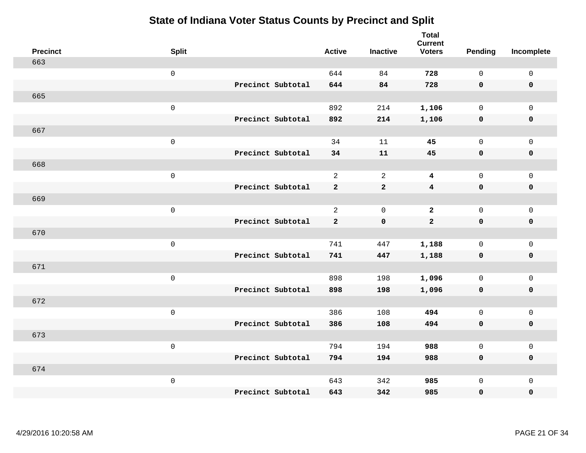| <b>Precinct</b> | <b>Split</b>        | <b>Active</b>  | <b>Inactive</b> | <b>Total</b><br><b>Current</b><br><b>Voters</b> | <b>Pending</b> | Incomplete  |
|-----------------|---------------------|----------------|-----------------|-------------------------------------------------|----------------|-------------|
| 663             |                     |                |                 |                                                 |                |             |
|                 | $\mathsf{O}\xspace$ | 644            | 84              | 728                                             | $\mathbf 0$    | $\mathsf 0$ |
|                 | Precinct Subtotal   | 644            | 84              | 728                                             | $\mathbf 0$    | $\mathbf 0$ |
| 665             |                     |                |                 |                                                 |                |             |
|                 | $\mathsf 0$         | 892            | 214             | 1,106                                           | $\mathsf{O}$   | $\mathbf 0$ |
|                 | Precinct Subtotal   | 892            | 214             | 1,106                                           | $\mathbf 0$    | $\pmb{0}$   |
| 667             |                     |                |                 |                                                 |                |             |
|                 | $\mathsf 0$         | 34             | 11              | 45                                              | $\mathbf 0$    | $\mathsf 0$ |
|                 | Precinct Subtotal   | 34             | ${\bf 11}$      | 45                                              | $\mathbf 0$    | $\mathbf 0$ |
| 668             |                     |                |                 |                                                 |                |             |
|                 | $\mathbf 0$         | $\overline{2}$ | 2               | $\overline{\mathbf{4}}$                         | $\mathbf 0$    | $\mathbf 0$ |
|                 | Precinct Subtotal   | $\overline{a}$ | $\mathbf 2$     | $\overline{\mathbf{4}}$                         | $\mathbf 0$    | $\mathbf 0$ |
| 669             |                     |                |                 |                                                 |                |             |
|                 | $\mathsf 0$         | $\overline{2}$ | $\mathbf 0$     | $\overline{2}$                                  | $\mathbf 0$    | $\mathbf 0$ |
|                 | Precinct Subtotal   | $\mathbf{2}$   | $\mathbf 0$     | $\mathbf{2}$                                    | $\mathbf 0$    | $\mathbf 0$ |
| 670             |                     |                |                 |                                                 |                |             |
|                 | $\mathbf 0$         | 741            | 447             | 1,188                                           | $\mathsf{O}$   | $\mathsf 0$ |
|                 | Precinct Subtotal   | 741            | 447             | 1,188                                           | $\mathbf 0$    | $\mathbf 0$ |
| 671             |                     |                |                 |                                                 |                |             |
|                 | $\mathbf 0$         | 898            | 198             | 1,096                                           | $\mathbf 0$    | $\mathsf 0$ |
|                 | Precinct Subtotal   | 898            | 198             | 1,096                                           | 0              | $\mathbf 0$ |
| 672             |                     |                |                 |                                                 |                |             |
|                 | $\mathbf 0$         | 386            | 108             | 494                                             | $\mathbf 0$    | $\mathsf 0$ |
|                 | Precinct Subtotal   | 386            | 108             | 494                                             | $\mathbf 0$    | $\mathbf 0$ |
| 673             |                     |                |                 |                                                 |                |             |
|                 | $\mathsf 0$         | 794            | 194             | 988                                             | $\mathsf{O}$   | $\mathsf 0$ |
|                 | Precinct Subtotal   | 794            | 194             | 988                                             | $\mathbf 0$    | $\mathbf 0$ |
| 674             |                     |                |                 |                                                 |                |             |
|                 | $\mathbf 0$         | 643            | 342             | 985                                             | $\mathsf{O}$   | $\mathbf 0$ |
|                 | Precinct Subtotal   | 643            | 342             | 985                                             | 0              | $\pmb{0}$   |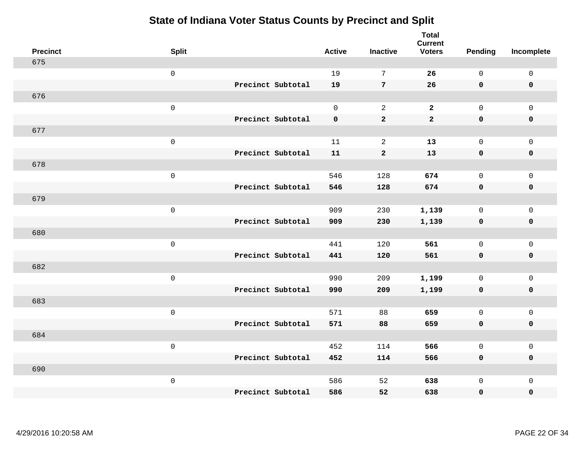| <b>Precinct</b> | <b>Split</b>        |                   | <b>Active</b> | <b>Inactive</b> | <b>Total</b><br><b>Current</b><br><b>Voters</b> | <b>Pending</b>      | Incomplete          |
|-----------------|---------------------|-------------------|---------------|-----------------|-------------------------------------------------|---------------------|---------------------|
| 675             |                     |                   |               |                 |                                                 |                     |                     |
|                 | $\mbox{O}$          |                   | 19            | $7\phantom{.0}$ | 26                                              | $\mathsf{O}$        | $\mathsf 0$         |
|                 |                     | Precinct Subtotal | 19            | 7               | 26                                              | $\mathbf 0$         | $\mathbf 0$         |
| 676             |                     |                   |               |                 |                                                 |                     |                     |
|                 | $\mathsf{O}\xspace$ |                   | $\mathsf{O}$  | 2               | $\overline{a}$                                  | $\mathsf{O}\xspace$ | $\mathsf 0$         |
|                 |                     | Precinct Subtotal | $\mathbf 0$   | $\mathbf 2$     | $\mathbf{2}$                                    | $\mathbf 0$         | $\pmb{0}$           |
| 677             |                     |                   |               |                 |                                                 |                     |                     |
|                 | $\mbox{O}$          |                   | 11            | $\sqrt{2}$      | 13                                              | $\mathsf{O}$        | $\mathsf 0$         |
|                 |                     | Precinct Subtotal | 11            | $\mathbf{2}$    | 13                                              | $\mathbf 0$         | $\mathbf 0$         |
| 678             |                     |                   |               |                 |                                                 |                     |                     |
|                 | $\mathsf 0$         |                   | 546           | 128             | 674                                             | $\mathsf{O}$        | $\mathsf 0$         |
|                 |                     | Precinct Subtotal | 546           | 128             | 674                                             | $\mathbf 0$         | $\pmb{0}$           |
| 679             |                     |                   |               |                 |                                                 |                     |                     |
|                 | $\mathsf 0$         |                   | 909           | 230             | 1,139                                           | $\mathsf{O}$        | $\mathsf 0$         |
|                 |                     | Precinct Subtotal | 909           | 230             | 1,139                                           | $\mathbf 0$         | $\mathbf 0$         |
| 680             |                     |                   |               |                 |                                                 |                     |                     |
|                 | $\mathsf 0$         |                   | 441           | 120             | 561                                             | $\mathsf{O}$        | $\mathsf 0$         |
|                 |                     | Precinct Subtotal | 441           | 120             | 561                                             | $\mathbf 0$         | $\mathbf 0$         |
| 682             |                     |                   |               |                 |                                                 |                     |                     |
|                 | $\mathsf 0$         |                   | 990           | 209             | 1,199                                           | $\mathbf 0$         | $\mathsf 0$         |
|                 |                     | Precinct Subtotal | 990           | 209             | 1,199                                           | $\mathbf 0$         | $\mathbf 0$         |
| 683             |                     |                   |               |                 |                                                 |                     |                     |
|                 | $\mathsf 0$         |                   | 571           | 88              | 659                                             | $\mathsf{O}$        | $\mathsf 0$         |
|                 |                     | Precinct Subtotal | 571           | 88              | 659                                             | $\mathbf 0$         | $\mathbf 0$         |
| 684             |                     |                   |               |                 |                                                 |                     |                     |
|                 | $\mathsf{O}\xspace$ |                   | 452           | 114             | 566                                             | $\mathbf 0$         | $\mathsf{O}\xspace$ |
|                 |                     | Precinct Subtotal | 452           | 114             | 566                                             | $\mathbf 0$         | $\mathbf 0$         |
| 690             |                     |                   |               |                 |                                                 |                     |                     |
|                 | $\mathbf 0$         |                   | 586           | 52              | 638                                             | $\mathsf{O}$        | $\mathbf 0$         |
|                 |                     | Precinct Subtotal | 586           | 52              | 638                                             | 0                   | $\pmb{0}$           |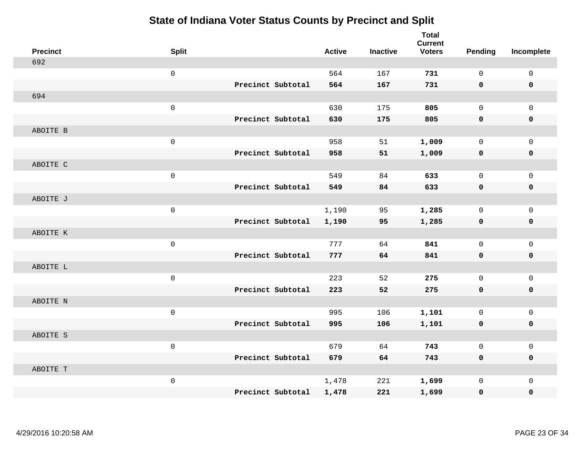| <b>Precinct</b> | <b>Split</b> |                   | <b>Active</b> | <b>Inactive</b> | <b>Total</b><br><b>Current</b><br><b>Voters</b> | Pending      | Incomplete          |
|-----------------|--------------|-------------------|---------------|-----------------|-------------------------------------------------|--------------|---------------------|
| 692             |              |                   |               |                 |                                                 |              |                     |
|                 | $\mathsf 0$  |                   | 564           | 167             | 731                                             | $\mathbf 0$  | $\mathbf 0$         |
|                 |              | Precinct Subtotal | 564           | 167             | 731                                             | $\mathbf 0$  | $\mathbf 0$         |
| 694             |              |                   |               |                 |                                                 |              |                     |
|                 | $\mathsf 0$  |                   | 630           | 175             | 805                                             | $\mathbf 0$  | $\mathbf{0}$        |
|                 |              | Precinct Subtotal | 630           | 175             | 805                                             | $\mathbf 0$  | $\pmb{0}$           |
| ABOITE B        |              |                   |               |                 |                                                 |              |                     |
|                 | $\mathsf 0$  |                   | 958           | 51              | 1,009                                           | $\mathbf 0$  | $\mathbf 0$         |
|                 |              | Precinct Subtotal | 958           | 51              | 1,009                                           | $\mathbf 0$  | $\pmb{0}$           |
| ABOITE C        |              |                   |               |                 |                                                 |              |                     |
|                 | $\mathsf 0$  |                   | 549           | 84              | 633                                             | $\mathbf 0$  | $\mathbf 0$         |
|                 |              | Precinct Subtotal | 549           | 84              | 633                                             | $\mathbf 0$  | $\pmb{0}$           |
| ABOITE J        |              |                   |               |                 |                                                 |              |                     |
|                 | $\mathsf 0$  |                   | 1,190         | 95              | 1,285                                           | $\mathbf 0$  | $\mathbf 0$         |
|                 |              | Precinct Subtotal | 1,190         | 95              | 1,285                                           | 0            | $\mathbf 0$         |
| ABOITE K        |              |                   |               |                 |                                                 |              |                     |
|                 | $\mathsf 0$  |                   | 777           | 64              | 841                                             | $\mathbf 0$  | $\mathsf{O}\xspace$ |
|                 |              | Precinct Subtotal | 777           | 64              | 841                                             | $\mathbf 0$  | $\mathbf 0$         |
| ABOITE L        |              |                   |               |                 |                                                 |              |                     |
|                 | $\mathsf 0$  |                   | 223           | 52              | 275                                             | $\mathbf 0$  | $\mathsf{O}\xspace$ |
|                 |              | Precinct Subtotal | 223           | 52              | 275                                             | 0            | $\mathbf 0$         |
| ABOITE N        |              |                   |               |                 |                                                 |              |                     |
|                 | $\mathsf 0$  |                   | 995           | 106             | 1,101                                           | $\mathbf 0$  | $\mathbf 0$         |
|                 |              | Precinct Subtotal | 995           | 106             | 1,101                                           | $\mathbf 0$  | $\pmb{0}$           |
| ABOITE S        |              |                   |               |                 |                                                 |              |                     |
|                 | $\mathsf 0$  |                   | 679           | 64              | 743                                             | $\mathsf{O}$ | $\mathbf 0$         |
|                 |              | Precinct Subtotal | 679           | 64              | 743                                             | $\mathbf 0$  | $\mathbf 0$         |
| ABOITE T        |              |                   |               |                 |                                                 |              |                     |
|                 | $\mathsf 0$  |                   | 1,478         | 221             | 1,699                                           | $\mathbf 0$  | $\mathbf 0$         |
|                 |              | Precinct Subtotal | 1,478         | 221             | 1,699                                           | 0            | 0                   |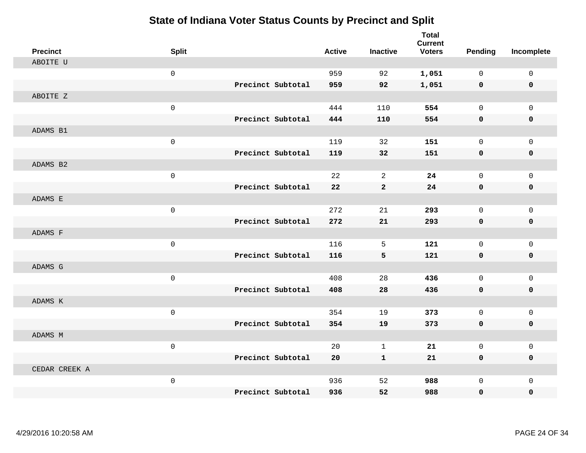| <b>Precinct</b> | <b>Split</b>        |                   | <b>Active</b> | <b>Inactive</b> | <b>Total</b><br><b>Current</b><br><b>Voters</b> | <b>Pending</b> | Incomplete   |
|-----------------|---------------------|-------------------|---------------|-----------------|-------------------------------------------------|----------------|--------------|
| ABOITE U        |                     |                   |               |                 |                                                 |                |              |
|                 | $\mathsf{O}\xspace$ |                   | 959           | 92              | 1,051                                           | $\mathbf 0$    | 0            |
|                 |                     | Precinct Subtotal | 959           | 92              | 1,051                                           | 0              | $\mathbf 0$  |
| ABOITE Z        |                     |                   |               |                 |                                                 |                |              |
|                 | $\mathbf 0$         |                   | 444           | 110             | 554                                             | $\mathbf 0$    | $\mathbf{0}$ |
|                 |                     | Precinct Subtotal | 444           | 110             | 554                                             | 0              | $\pmb{0}$    |
| ADAMS B1        |                     |                   |               |                 |                                                 |                |              |
|                 | $\mathsf 0$         |                   | 119           | 32              | 151                                             | $\mathbf 0$    | $\mathsf{O}$ |
|                 |                     | Precinct Subtotal | 119           | 32              | 151                                             | 0              | 0            |
| ADAMS B2        |                     |                   |               |                 |                                                 |                |              |
|                 | $\mathsf 0$         |                   | 22            | 2               | 24                                              | $\mathbf 0$    | $\mathsf{O}$ |
|                 |                     | Precinct Subtotal | 22            | $\mathbf{2}$    | 24                                              | 0              | 0            |
| ADAMS E         |                     |                   |               |                 |                                                 |                |              |
|                 | $\mathsf 0$         |                   | 272           | 21              | 293                                             | $\mathbf 0$    | $\mathsf{O}$ |
|                 |                     | Precinct Subtotal | 272           | 21              | 293                                             | 0              | 0            |
| ADAMS F         |                     |                   |               |                 |                                                 |                |              |
|                 | $\mathsf 0$         |                   | 116           | 5               | 121                                             | $\mathbf 0$    | $\mathbf 0$  |
|                 |                     | Precinct Subtotal | 116           | 5               | 121                                             | $\mathbf 0$    | 0            |
| ADAMS G         |                     |                   |               |                 |                                                 |                |              |
|                 | $\mathsf 0$         |                   | 408           | 28              | 436                                             | $\mathbf 0$    | $\mathbf 0$  |
|                 |                     | Precinct Subtotal | 408           | 28              | 436                                             | $\mathbf 0$    | 0            |
| ADAMS K         |                     |                   |               |                 |                                                 |                |              |
|                 | $\mathsf 0$         |                   | 354           | 19              | 373                                             | $\mathbf 0$    | $\mathsf{O}$ |
|                 |                     | Precinct Subtotal | 354           | 19              | 373                                             | $\mathbf 0$    | 0            |
| ADAMS M         |                     |                   |               |                 |                                                 |                |              |
|                 | $\mathsf 0$         |                   | 20            | $\mathbf 1$     | 21                                              | $\mathbf 0$    | $\mathsf{O}$ |
|                 |                     | Precinct Subtotal | 20            | $\mathbf{1}$    | 21                                              | 0              | 0            |
| CEDAR CREEK A   |                     |                   |               |                 |                                                 |                |              |
|                 | $\mathsf 0$         |                   | 936           | 52              | 988                                             | $\mathbf 0$    | $\mathsf{O}$ |
|                 |                     | Precinct Subtotal | 936           | 52              | 988                                             | 0              | 0            |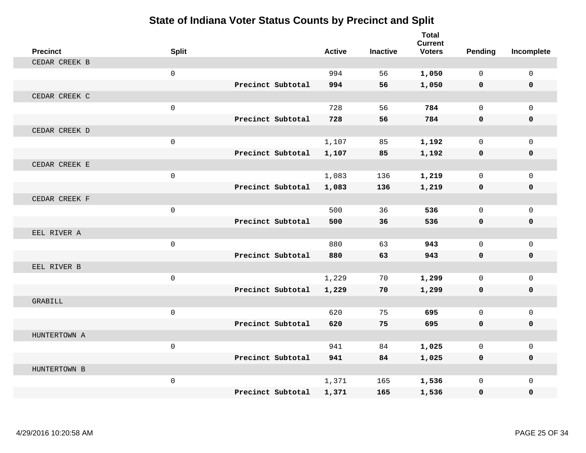| <b>Precinct</b> | <b>Split</b> |                   | <b>Active</b> | <b>Inactive</b> | <b>Total</b><br><b>Current</b><br><b>Voters</b> | Pending      | Incomplete   |
|-----------------|--------------|-------------------|---------------|-----------------|-------------------------------------------------|--------------|--------------|
| CEDAR CREEK B   |              |                   |               |                 |                                                 |              |              |
|                 | $\mathbf 0$  |                   | 994           | 56              | 1,050                                           | $\Omega$     | $\mathbf 0$  |
|                 |              | Precinct Subtotal | 994           | 56              | 1,050                                           | $\mathbf 0$  | $\mathbf 0$  |
| CEDAR CREEK C   |              |                   |               |                 |                                                 |              |              |
|                 | $\mathsf 0$  |                   | 728           | 56              | 784                                             | $\mathbf 0$  | $\mathbf{0}$ |
|                 |              | Precinct Subtotal | 728           | 56              | 784                                             | $\mathbf{0}$ | 0            |
| CEDAR CREEK D   |              |                   |               |                 |                                                 |              |              |
|                 | $\mathsf 0$  |                   | 1,107         | 85              | 1,192                                           | $\mathbf 0$  | $\mathbf{0}$ |
|                 |              | Precinct Subtotal | 1,107         | 85              | 1,192                                           | 0            | 0            |
| CEDAR CREEK E   |              |                   |               |                 |                                                 |              |              |
|                 | $\mathsf 0$  |                   | 1,083         | 136             | 1,219                                           | $\mathbf 0$  | $\mathbf 0$  |
|                 |              | Precinct Subtotal | 1,083         | 136             | 1,219                                           | 0            | 0            |
| CEDAR CREEK F   |              |                   |               |                 |                                                 |              |              |
|                 | $\mathbf 0$  |                   | 500           | 36              | 536                                             | $\Omega$     | $\mathbf 0$  |
|                 |              | Precinct Subtotal | 500           | 36              | 536                                             | 0            | 0            |
| EEL RIVER A     |              |                   |               |                 |                                                 |              |              |
|                 | $\mathsf{O}$ |                   | 880           | 63              | 943                                             | $\mathbf 0$  | $\mathbf{0}$ |
|                 |              | Precinct Subtotal | 880           | 63              | 943                                             | $\mathbf{0}$ | 0            |
| EEL RIVER B     |              |                   |               |                 |                                                 |              |              |
|                 | $\mathsf{O}$ |                   | 1,229         | 70              | 1,299                                           | $\mathbf 0$  | $\mathbf 0$  |
|                 |              | Precinct Subtotal | 1,229         | 70              | 1,299                                           | 0            | 0            |
| <b>GRABILL</b>  |              |                   |               |                 |                                                 |              |              |
|                 | $\mathsf 0$  |                   | 620           | 75              | 695                                             | $\Omega$     | $\mathbf{0}$ |
|                 |              | Precinct Subtotal | 620           | 75              | 695                                             | $\mathbf 0$  | 0            |
| HUNTERTOWN A    |              |                   |               |                 |                                                 |              |              |
|                 | $\mathbf 0$  |                   | 941           | 84              | 1,025                                           | $\Omega$     | $\mathbf 0$  |
|                 |              | Precinct Subtotal | 941           | 84              | 1,025                                           | 0            | 0            |
| HUNTERTOWN B    |              |                   |               |                 |                                                 |              |              |
|                 | $\mathsf{O}$ |                   | 1,371         | 165             | 1,536                                           | $\mathbf 0$  | $\mathbf{0}$ |
|                 |              | Precinct Subtotal | 1,371         | 165             | 1,536                                           | 0            | 0            |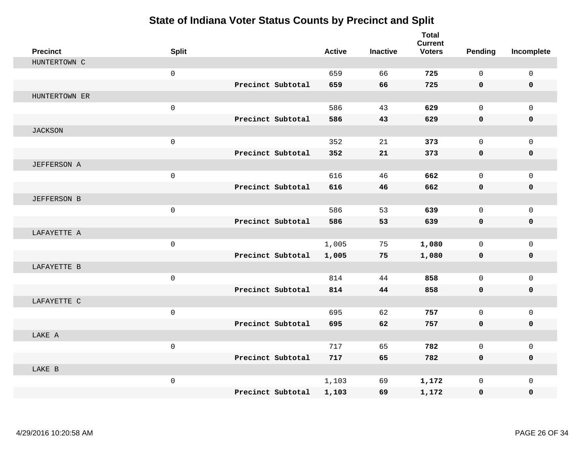| <b>Precinct</b>    | <b>Split</b> |                   | <b>Active</b> | <b>Inactive</b> | <b>Total</b><br><b>Current</b><br><b>Voters</b> | Pending      | Incomplete   |
|--------------------|--------------|-------------------|---------------|-----------------|-------------------------------------------------|--------------|--------------|
| HUNTERTOWN C       |              |                   |               |                 |                                                 |              |              |
|                    | $\mathsf{O}$ |                   | 659           | 66              | 725                                             | $\Omega$     | $\mathbf 0$  |
|                    |              | Precinct Subtotal | 659           | 66              | 725                                             | $\mathbf 0$  | $\mathbf 0$  |
| HUNTERTOWN ER      |              |                   |               |                 |                                                 |              |              |
|                    | $\mathsf{O}$ |                   | 586           | 43              | 629                                             | $\mathbf 0$  | $\mathbf{0}$ |
|                    |              | Precinct Subtotal | 586           | 43              | 629                                             | $\mathbf 0$  | 0            |
| <b>JACKSON</b>     |              |                   |               |                 |                                                 |              |              |
|                    | $\mathsf{O}$ |                   | 352           | 21              | 373                                             | $\Omega$     | $\mathbf 0$  |
|                    |              | Precinct Subtotal | 352           | 21              | 373                                             | 0            | $\mathbf 0$  |
| <b>JEFFERSON A</b> |              |                   |               |                 |                                                 |              |              |
|                    | $\mathsf{O}$ |                   | 616           | 46              | 662                                             | $\mathbf 0$  | $\mathbf{0}$ |
|                    |              | Precinct Subtotal | 616           | 46              | 662                                             | $\mathbf 0$  | 0            |
| <b>JEFFERSON B</b> |              |                   |               |                 |                                                 |              |              |
|                    | $\mathsf{O}$ |                   | 586           | 53              | 639                                             | $\mathbf 0$  | $\mathbf{0}$ |
|                    |              | Precinct Subtotal | 586           | 53              | 639                                             | $\mathbf 0$  | 0            |
| LAFAYETTE A        |              |                   |               |                 |                                                 |              |              |
|                    | $\mathsf 0$  |                   | 1,005         | 75              | 1,080                                           | $\mathbf 0$  | $\mathbf 0$  |
|                    |              | Precinct Subtotal | 1,005         | 75              | 1,080                                           | 0            | 0            |
| LAFAYETTE B        |              |                   |               |                 |                                                 |              |              |
|                    | $\mathbf 0$  |                   | 814           | 44              | 858                                             | $\mathbf 0$  | $\mathbf 0$  |
|                    |              | Precinct Subtotal | 814           | 44              | 858                                             | 0            | 0            |
| LAFAYETTE C        |              |                   |               |                 |                                                 |              |              |
|                    | $\mathsf 0$  |                   | 695           | 62              | 757                                             | $\mathbf{0}$ | $\mathbf 0$  |
|                    |              | Precinct Subtotal | 695           | 62              | 757                                             | 0            | 0            |
| LAKE A             |              |                   |               |                 |                                                 |              |              |
|                    | $\mathbf 0$  |                   | 717           | 65              | 782                                             | $\mathbf 0$  | $\mathbf 0$  |
|                    |              | Precinct Subtotal | 717           | 65              | 782                                             | 0            | 0            |
| LAKE B             |              |                   |               |                 |                                                 |              |              |
|                    | $\mathsf{O}$ |                   | 1,103         | 69              | 1,172                                           | $\mathbf 0$  | $\mathbf 0$  |
|                    |              | Precinct Subtotal | 1,103         | 69              | 1,172                                           | 0            | 0            |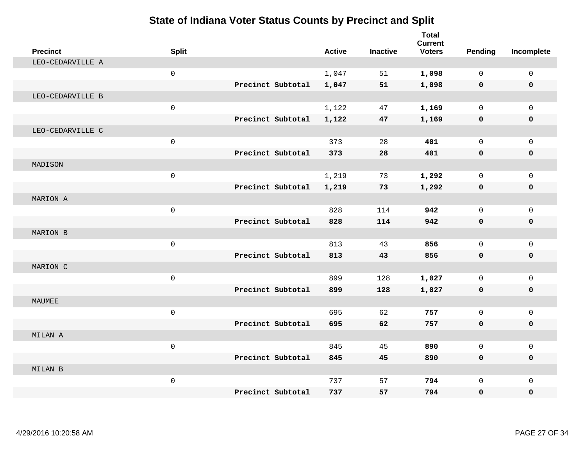| <b>Precinct</b>  | <b>Split</b>        |                   | <b>Active</b> | <b>Inactive</b> | <b>Total</b><br><b>Current</b><br><b>Voters</b> | Pending      | Incomplete   |
|------------------|---------------------|-------------------|---------------|-----------------|-------------------------------------------------|--------------|--------------|
| LEO-CEDARVILLE A |                     |                   |               |                 |                                                 |              |              |
|                  | $\mathsf{O}\xspace$ |                   | 1,047         | 51              | 1,098                                           | $\mathbf 0$  | $\mathbf 0$  |
|                  |                     | Precinct Subtotal | 1,047         | 51              | 1,098                                           | 0            | 0            |
| LEO-CEDARVILLE B |                     |                   |               |                 |                                                 |              |              |
|                  | $\mathsf 0$         |                   | 1,122         | 47              | 1,169                                           | $\mathbf 0$  | $\mathbf 0$  |
|                  |                     | Precinct Subtotal | 1,122         | 47              | 1,169                                           | 0            | 0            |
| LEO-CEDARVILLE C |                     |                   |               |                 |                                                 |              |              |
|                  | $\mathsf 0$         |                   | 373           | 28              | 401                                             | $\mathbf 0$  | $\mathbf 0$  |
|                  |                     | Precinct Subtotal | 373           | 28              | 401                                             | 0            | 0            |
| MADISON          |                     |                   |               |                 |                                                 |              |              |
|                  | $\mathbf 0$         |                   | 1,219         | 73              | 1,292                                           | $\mathbf 0$  | $\mathbf 0$  |
|                  |                     | Precinct Subtotal | 1,219         | 73              | 1,292                                           | 0            | 0            |
| MARION A         |                     |                   |               |                 |                                                 |              |              |
|                  | $\mathbf 0$         |                   | 828           | 114             | 942                                             | $\Omega$     | $\mathbf 0$  |
|                  |                     | Precinct Subtotal | 828           | 114             | 942                                             | 0            | $\mathbf 0$  |
| MARION B         |                     |                   |               |                 |                                                 |              |              |
|                  | $\mathsf{O}\xspace$ |                   | 813           | 43              | 856                                             | $\mathbf 0$  | $\mathbf{0}$ |
|                  |                     | Precinct Subtotal | 813           | 43              | 856                                             | 0            | 0            |
| MARION C         |                     |                   |               |                 |                                                 |              |              |
|                  | $\mathsf{O}\xspace$ |                   | 899           | 128             | 1,027                                           | $\mathbf 0$  | $\mathbf 0$  |
|                  |                     | Precinct Subtotal | 899           | 128             | 1,027                                           | 0            | 0            |
| MAUMEE           |                     |                   |               |                 |                                                 |              |              |
|                  | $\mathbf 0$         |                   | 695           | 62              | 757                                             | $\mathbf 0$  | $\mathbf 0$  |
|                  |                     | Precinct Subtotal | 695           | 62              | 757                                             | $\mathbf 0$  | 0            |
| MILAN A          |                     |                   |               |                 |                                                 |              |              |
|                  | $\mathbf 0$         |                   | 845           | 45              | 890                                             | $\Omega$     | $\mathsf{O}$ |
|                  |                     | Precinct Subtotal | 845           | 45              | 890                                             | 0            | 0            |
| MILAN B          |                     |                   |               |                 |                                                 |              |              |
|                  | $\mathsf 0$         |                   | 737           | 57              | 794                                             | $\mathbf{0}$ | $\mathbf 0$  |
|                  |                     | Precinct Subtotal | 737           | 57              | 794                                             | $\mathbf 0$  | $\mathbf 0$  |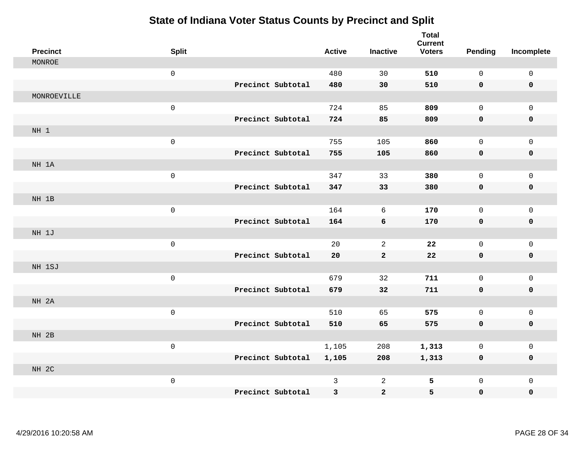| <b>Precinct</b> | <b>Split</b>        |                   | <b>Active</b> | <b>Inactive</b> | <b>Total</b><br><b>Current</b><br><b>Voters</b> | <b>Pending</b> | Incomplete          |
|-----------------|---------------------|-------------------|---------------|-----------------|-------------------------------------------------|----------------|---------------------|
| MONROE          |                     |                   |               |                 |                                                 |                |                     |
|                 | $\mathsf 0$         |                   | 480           | 30              | 510                                             | 0              | $\mathsf 0$         |
|                 |                     | Precinct Subtotal | 480           | 30              | 510                                             | 0              | 0                   |
| MONROEVILLE     |                     |                   |               |                 |                                                 |                |                     |
|                 | $\mathsf{O}\xspace$ |                   | 724           | 85              | 809                                             | $\mathsf{O}$   | $\mathsf{O}$        |
|                 |                     | Precinct Subtotal | 724           | 85              | 809                                             | 0              | 0                   |
| NH 1            |                     |                   |               |                 |                                                 |                |                     |
|                 | $\mathsf{O}\xspace$ |                   | 755           | 105             | 860                                             | 0              | $\mathsf{O}$        |
|                 |                     | Precinct Subtotal | 755           | 105             | 860                                             | 0              | 0                   |
| NH 1A           |                     |                   |               |                 |                                                 |                |                     |
|                 | $\mathsf 0$         |                   | 347           | 33              | 380                                             | 0              | $\mathsf{O}$        |
|                 |                     | Precinct Subtotal | 347           | 33              | 380                                             | 0              | 0                   |
| NH 1B           |                     |                   |               |                 |                                                 |                |                     |
|                 | $\mathsf{O}$        |                   | 164           | 6               | 170                                             | 0              | $\mathsf{O}$        |
|                 |                     | Precinct Subtotal | 164           | 6               | 170                                             | 0              | 0                   |
| NH 1J           |                     |                   |               |                 |                                                 |                |                     |
|                 | $\mathsf{O}\xspace$ |                   | 20            | $\mathbf{2}$    | 22                                              | $\mathbf{0}$   | $\mathsf{O}$        |
|                 |                     | Precinct Subtotal | 20            | $\mathbf{2}$    | ${\bf 22}$                                      | 0              | 0                   |
| NH 1SJ          |                     |                   |               |                 |                                                 |                |                     |
|                 | $\mathsf{O}$        |                   | 679           | 32              | 711                                             | 0              | $\mathsf{O}\xspace$ |
|                 |                     | Precinct Subtotal | 679           | 32              | 711                                             | 0              | $\pmb{0}$           |
| NH 2A           |                     |                   |               |                 |                                                 |                |                     |
|                 | $\mathsf{O}\xspace$ |                   | 510           | 65              | 575                                             | 0              | $\mathsf{O}$        |
|                 |                     | Precinct Subtotal | 510           | 65              | 575                                             | 0              | 0                   |
| NH 2B           |                     |                   |               |                 |                                                 |                |                     |
|                 | $\mathsf{O}$        |                   | 1,105         | 208             | 1,313                                           | 0              | $\mathsf{O}\xspace$ |
|                 |                     | Precinct Subtotal | 1,105         | 208             | 1,313                                           | 0              | 0                   |
| NH 2C           |                     |                   |               |                 |                                                 |                |                     |
|                 | $\mathsf{O}\xspace$ |                   | 3             | $\overline{a}$  | 5                                               | 0              | $\mathsf{O}$        |
|                 |                     | Precinct Subtotal | 3             | $\mathbf{2}$    | 5                                               | 0              | 0                   |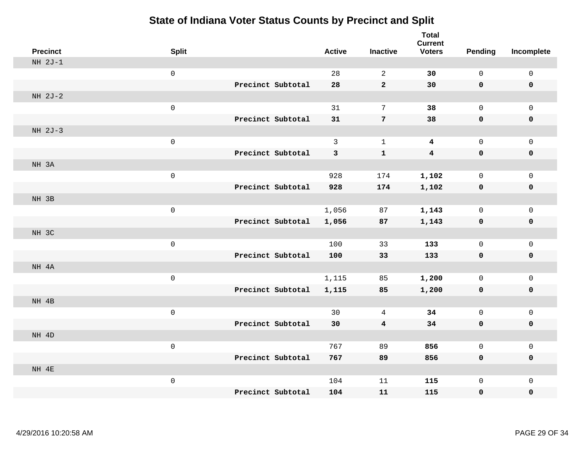| <b>Precinct</b> | <b>Split</b>        |                   | <b>Active</b> | <b>Inactive</b>         | <b>Total</b><br><b>Current</b><br><b>Voters</b> | <b>Pending</b> | Incomplete          |
|-----------------|---------------------|-------------------|---------------|-------------------------|-------------------------------------------------|----------------|---------------------|
| $NH 2J-1$       |                     |                   |               |                         |                                                 |                |                     |
|                 | $\mathsf 0$         |                   | 28            | $\overline{2}$          | 30                                              | $\mathsf{O}$   | $\mathsf 0$         |
|                 |                     | Precinct Subtotal | 28            | $\mathbf{2}$            | 30                                              | $\mathbf 0$    | $\mathbf 0$         |
| NH 2J-2         |                     |                   |               |                         |                                                 |                |                     |
|                 | $\mathsf{O}\xspace$ |                   | 31            | $\overline{7}$          | 38                                              | $\mathsf 0$    | $\mathsf{O}\xspace$ |
|                 |                     | Precinct Subtotal | 31            | $\overline{7}$          | 38                                              | $\mathbf 0$    | $\pmb{0}$           |
| NH 2J-3         |                     |                   |               |                         |                                                 |                |                     |
|                 | $\mathsf 0$         |                   | $\mathbf{3}$  | $\mathbf{1}$            | $\boldsymbol{4}$                                | $\mathsf{O}$   | $\mathsf 0$         |
|                 |                     | Precinct Subtotal | 3             | $\mathbf{1}$            | $\boldsymbol{4}$                                | $\mathbf 0$    | $\mathbf 0$         |
| NH 3A           |                     |                   |               |                         |                                                 |                |                     |
|                 | $\mathsf 0$         |                   | 928           | 174                     | 1,102                                           | $\mathsf{O}$   | $\mathsf{O}\xspace$ |
|                 |                     | Precinct Subtotal | 928           | 174                     | 1,102                                           | $\mathbf 0$    | 0                   |
| NH 3B           |                     |                   |               |                         |                                                 |                |                     |
|                 | $\mathsf 0$         |                   | 1,056         | 87                      | 1,143                                           | $\mathsf{O}$   | $\mathsf 0$         |
|                 |                     | Precinct Subtotal | 1,056         | 87                      | 1,143                                           | $\mathbf 0$    | $\mathbf 0$         |
| NH 3C           |                     |                   |               |                         |                                                 |                |                     |
|                 | $\mathsf 0$         |                   | 100           | 33                      | 133                                             | $\mathsf{O}$   | $\mathsf{O}\xspace$ |
|                 |                     | Precinct Subtotal | 100           | 33                      | 133                                             | $\mathbf 0$    | $\pmb{0}$           |
| NH 4A           |                     |                   |               |                         |                                                 |                |                     |
|                 | $\mathsf 0$         |                   | 1,115         | 85                      | 1,200                                           | $\mathbf 0$    | $\mathbf{0}$        |
|                 |                     | Precinct Subtotal | 1,115         | 85                      | 1,200                                           | $\mathbf 0$    | $\mathbf 0$         |
| NH 4B           |                     |                   |               |                         |                                                 |                |                     |
|                 | $\mathsf{O}\xspace$ |                   | 30            | 4                       | 34                                              | $\mathsf{O}$   | $\mathsf{O}\xspace$ |
|                 |                     | Precinct Subtotal | 30            | $\overline{\mathbf{4}}$ | 34                                              | $\mathbf 0$    | $\mathbf 0$         |
| NH 4D           |                     |                   |               |                         |                                                 |                |                     |
|                 | $\mathsf{O}\xspace$ |                   | 767           | 89                      | 856                                             | $\mathbf 0$    | $\mathsf{O}\xspace$ |
|                 |                     | Precinct Subtotal | 767           | 89                      | 856                                             | $\mathbf 0$    | $\mathbf 0$         |
| NH 4E           |                     |                   |               |                         |                                                 |                |                     |
|                 | $\mathsf 0$         |                   | 104           | 11                      | 115                                             | $\mathsf{O}$   | $\mathbf 0$         |
|                 |                     | Precinct Subtotal | 104           | 11                      | 115                                             | 0              | 0                   |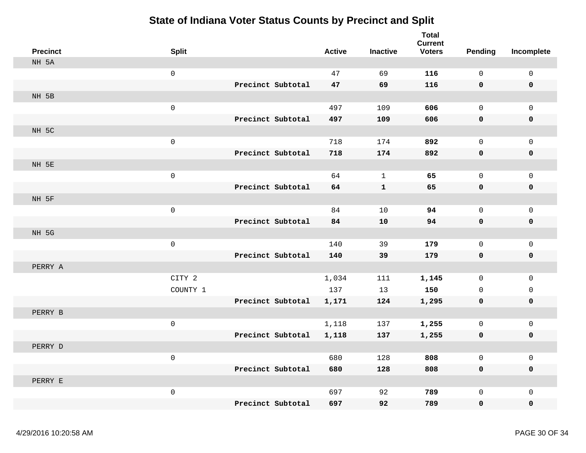| <b>Precinct</b> | <b>Split</b>      | <b>Active</b> | <b>Inactive</b> | <b>Total</b><br><b>Current</b><br><b>Voters</b> | <b>Pending</b>      | Incomplete          |
|-----------------|-------------------|---------------|-----------------|-------------------------------------------------|---------------------|---------------------|
| NH 5A           |                   |               |                 |                                                 |                     |                     |
|                 | $\mathsf{O}$      | 47            | 69              | 116                                             | $\mathbf 0$         | 0                   |
|                 | Precinct Subtotal | 47            | 69              | 116                                             | 0                   | $\mathbf 0$         |
| NH 5B           |                   |               |                 |                                                 |                     |                     |
|                 | $\mathbf 0$       | 497           | 109             | 606                                             | $\mathbf 0$         | $\mathbf{0}$        |
|                 | Precinct Subtotal | 497           | 109             | 606                                             | 0                   | 0                   |
| NH 5C           |                   |               |                 |                                                 |                     |                     |
|                 | $\mathsf 0$       | 718           | 174             | 892                                             | $\mathbf 0$         | $\mathsf{O}$        |
|                 | Precinct Subtotal | 718           | 174             | 892                                             | $\pmb{0}$           | $\pmb{0}$           |
| NH 5E           |                   |               |                 |                                                 |                     |                     |
|                 | $\mathbf 0$       | 64            | $\mathbf{1}$    | 65                                              | $\mathsf{O}\xspace$ | $\mathbf 0$         |
|                 | Precinct Subtotal | 64            | $\mathbf{1}$    | 65                                              | 0                   | $\pmb{0}$           |
| NH 5F           |                   |               |                 |                                                 |                     |                     |
|                 | $\mathbf 0$       | 84            | 10              | 94                                              | $\mathbf 0$         | $\mathsf{O}$        |
|                 | Precinct Subtotal | 84            | 10              | 94                                              | 0                   | $\pmb{0}$           |
| NH 5G           |                   |               |                 |                                                 |                     |                     |
|                 | $\mathsf 0$       | 140           | 39              | 179                                             | $\mathbf 0$         | $\mathsf{O}$        |
|                 | Precinct Subtotal | 140           | 39              | 179                                             | 0                   | 0                   |
| PERRY A         |                   |               |                 |                                                 |                     |                     |
|                 | CITY 2            | 1,034         | 111             | 1,145                                           | 0                   | $\mathsf{O}$        |
|                 | COUNTY 1          | 137           | 13              | 150                                             | $\mathbf 0$         | 0                   |
|                 | Precinct Subtotal | 1,171         | 124             | 1,295                                           | 0                   | 0                   |
| PERRY B         |                   |               |                 |                                                 |                     |                     |
|                 | $\mathsf 0$       | 1,118         | 137             | 1,255                                           | $\mathbf 0$         | $\mathsf{O}\xspace$ |
|                 | Precinct Subtotal | 1,118         | 137             | 1,255                                           | 0                   | 0                   |
| PERRY D         |                   |               |                 |                                                 |                     |                     |
|                 | $\mathsf 0$       | 680           | 128             | 808                                             | $\mathbf 0$         | $\mathsf{O}$        |
|                 | Precinct Subtotal | 680           | 128             | 808                                             | $\mathbf 0$         | 0                   |
| PERRY E         |                   |               |                 |                                                 |                     |                     |
|                 | $\mathsf 0$       | 697           | 92              | 789                                             | $\mathsf 0$         | $\mathsf{O}$        |
|                 | Precinct Subtotal | 697           | 92              | 789                                             | $\mathbf 0$         | $\mathbf 0$         |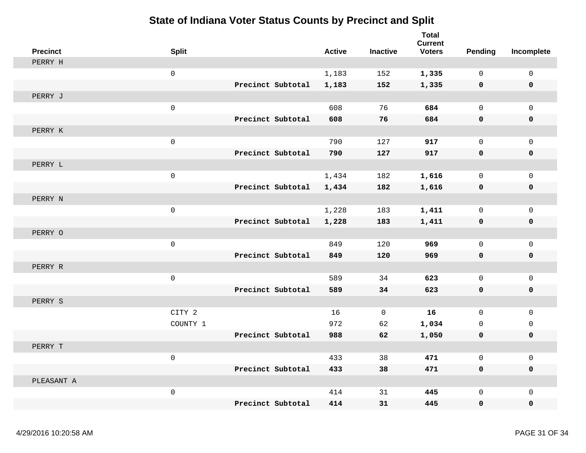| <b>Precinct</b> | <b>Split</b>        |                   | <b>Active</b> | <b>Inactive</b> | <b>Total</b><br><b>Current</b><br><b>Voters</b> | Pending     | Incomplete          |
|-----------------|---------------------|-------------------|---------------|-----------------|-------------------------------------------------|-------------|---------------------|
| PERRY H         |                     |                   |               |                 |                                                 |             |                     |
|                 | $\mathsf{O}$        |                   | 1,183         | 152             | 1,335                                           | $\mathbf 0$ | $\mathsf{O}\xspace$ |
|                 |                     | Precinct Subtotal | 1,183         | 152             | 1,335                                           | 0           | 0                   |
| PERRY J         |                     |                   |               |                 |                                                 |             |                     |
|                 | $\mathbf{0}$        |                   | 608           | 76              | 684                                             | $\mathbf 0$ | $\mathsf{O}$        |
|                 |                     | Precinct Subtotal | 608           | 76              | 684                                             | 0           | 0                   |
| PERRY K         |                     |                   |               |                 |                                                 |             |                     |
|                 | $\mathsf 0$         |                   | 790           | 127             | 917                                             | $\mathsf 0$ | 0                   |
|                 |                     | Precinct Subtotal | 790           | 127             | 917                                             | $\pmb{0}$   | 0                   |
| PERRY L         |                     |                   |               |                 |                                                 |             |                     |
|                 | $\mathbf 0$         |                   | 1,434         | 182             | 1,616                                           | $\mathbf 0$ | $\mathbf 0$         |
|                 |                     | Precinct Subtotal | 1,434         | 182             | 1,616                                           | 0           | 0                   |
| PERRY N         |                     |                   |               |                 |                                                 |             |                     |
|                 | $\mathsf{O}\xspace$ |                   | 1,228         | 183             | 1,411                                           | $\mathsf 0$ | $\mathsf{O}\xspace$ |
|                 |                     | Precinct Subtotal | 1,228         | 183             | 1,411                                           | 0           | $\pmb{0}$           |
| PERRY O         |                     |                   |               |                 |                                                 |             |                     |
|                 | $\mathsf 0$         |                   | 849           | 120             | 969                                             | $\mathbf 0$ | $\mathbf{0}$        |
|                 |                     | Precinct Subtotal | 849           | 120             | 969                                             | 0           | 0                   |
| PERRY R         |                     |                   |               |                 |                                                 |             |                     |
|                 | $\mathsf 0$         |                   | 589           | 34              | 623                                             | $\mathbf 0$ | $\mathsf{O}$        |
|                 |                     | Precinct Subtotal | 589           | 34              | 623                                             | 0           | 0                   |
| PERRY S         |                     |                   |               |                 |                                                 |             |                     |
|                 | CITY 2              |                   | 16            | $\mathbf 0$     | 16                                              | $\mathbf 0$ | $\mathsf{O}$        |
|                 | COUNTY 1            |                   | 972           | 62              | 1,034                                           | $\mathbf 0$ | $\mathbf 0$         |
|                 |                     | Precinct Subtotal | 988           | 62              | 1,050                                           | 0           | 0                   |
| PERRY T         |                     |                   |               |                 |                                                 |             |                     |
|                 | $\mathbf 0$         |                   | 433           | 38              | 471                                             | $\mathbf 0$ | 0                   |
|                 |                     | Precinct Subtotal | 433           | 38              | 471                                             | $\mathbf 0$ | 0                   |
| PLEASANT A      |                     |                   |               |                 |                                                 |             |                     |
|                 | $\mathsf 0$         |                   | 414           | 31              | 445                                             | $\mathbf 0$ | $\mathbf 0$         |
|                 |                     | Precinct Subtotal | 414           | 31              | 445                                             | $\mathbf 0$ | $\mathbf 0$         |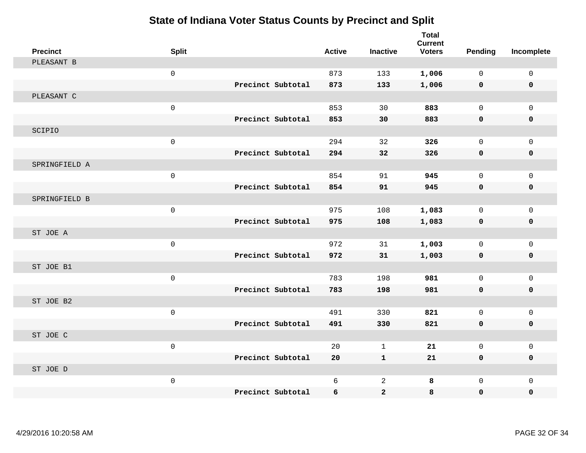| <b>Precinct</b> | <b>Split</b>        |                   | <b>Active</b> | <b>Inactive</b> | <b>Total</b><br><b>Current</b><br><b>Voters</b> | Pending      | Incomplete  |
|-----------------|---------------------|-------------------|---------------|-----------------|-------------------------------------------------|--------------|-------------|
| PLEASANT B      |                     |                   |               |                 |                                                 |              |             |
|                 | $\mathsf{O}\xspace$ |                   | 873           | 133             | 1,006                                           | $\mathbf 0$  | $\mathbf 0$ |
|                 |                     | Precinct Subtotal | 873           | 133             | 1,006                                           | $\mathbf 0$  | $\mathbf 0$ |
| PLEASANT C      |                     |                   |               |                 |                                                 |              |             |
|                 | $\mathbf 0$         |                   | 853           | 30              | 883                                             | $\mathbf 0$  | $\Omega$    |
|                 |                     | Precinct Subtotal | 853           | 30              | 883                                             | $\mathbf 0$  | 0           |
| SCIPIO          |                     |                   |               |                 |                                                 |              |             |
|                 | $\mathbf 0$         |                   | 294           | 32              | 326                                             | $\mathbf 0$  | $\mathbf 0$ |
|                 |                     | Precinct Subtotal | 294           | 32              | 326                                             | $\mathbf 0$  | 0           |
| SPRINGFIELD A   |                     |                   |               |                 |                                                 |              |             |
|                 | $\mathsf 0$         |                   | 854           | 91              | 945                                             | $\mathbf 0$  | $\mathbf 0$ |
|                 |                     | Precinct Subtotal | 854           | 91              | 945                                             | $\mathbf 0$  | 0           |
| SPRINGFIELD B   |                     |                   |               |                 |                                                 |              |             |
|                 | $\mathsf 0$         |                   | 975           | 108             | 1,083                                           | $\mathbf{0}$ | $\mathbf 0$ |
|                 |                     | Precinct Subtotal | 975           | 108             | 1,083                                           | 0            | 0           |
| ST JOE A        |                     |                   |               |                 |                                                 |              |             |
|                 | $\mathsf 0$         |                   | 972           | 31              | 1,003                                           | $\mathbf 0$  | $\mathbf 0$ |
|                 |                     | Precinct Subtotal | 972           | 31              | 1,003                                           | 0            | 0           |
| ST JOE B1       |                     |                   |               |                 |                                                 |              |             |
|                 | $\mathbf 0$         |                   | 783           | 198             | 981                                             | $\mathbf 0$  | $\mathbf 0$ |
|                 |                     | Precinct Subtotal | 783           | 198             | 981                                             | $\mathbf 0$  | 0           |
| ST JOE B2       |                     |                   |               |                 |                                                 |              |             |
|                 | $\mathsf{O}\xspace$ |                   | 491           | 330             | 821                                             | $\mathsf{O}$ | $\mathbf 0$ |
|                 |                     | Precinct Subtotal | 491           | 330             | 821                                             | $\mathbf 0$  | 0           |
| ST JOE C        |                     |                   |               |                 |                                                 |              |             |
|                 | $\mathsf 0$         |                   | 20            | $\mathbf 1$     | 21                                              | $\mathsf{O}$ | $\mathsf 0$ |
|                 |                     | Precinct Subtotal | 20            | $\mathbf{1}$    | 21                                              | $\mathbf 0$  | 0           |
| ST JOE D        |                     |                   |               |                 |                                                 |              |             |
|                 | $\mathsf{O}\xspace$ |                   | 6             | $\overline{2}$  | 8                                               | $\mathbf 0$  | $\mathbf 0$ |
|                 |                     | Precinct Subtotal | 6             | $\mathbf{2}$    | 8                                               | $\mathbf 0$  | 0           |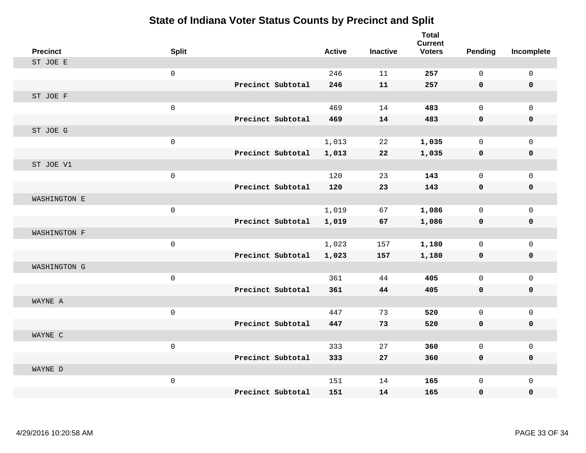| <b>Precinct</b> | <b>Split</b>        |                   | <b>Active</b> | <b>Inactive</b> | <b>Total</b><br><b>Current</b><br><b>Voters</b> | <b>Pending</b> | Incomplete   |
|-----------------|---------------------|-------------------|---------------|-----------------|-------------------------------------------------|----------------|--------------|
| ST JOE E        |                     |                   |               |                 |                                                 |                |              |
|                 | $\mathsf{O}\xspace$ |                   | 246           | 11              | 257                                             | 0              | $\mathbf 0$  |
|                 |                     | Precinct Subtotal | 246           | 11              | 257                                             | $\mathbf 0$    | $\mathbf 0$  |
| ST JOE F        |                     |                   |               |                 |                                                 |                |              |
|                 | $\mathsf{O}\xspace$ |                   | 469           | 14              | 483                                             | $\mathbf{0}$   | $\mathbf 0$  |
|                 |                     | Precinct Subtotal | 469           | 14              | 483                                             | $\mathbf 0$    | $\mathbf 0$  |
| ST JOE G        |                     |                   |               |                 |                                                 |                |              |
|                 | $\mathsf{O}\xspace$ |                   | 1,013         | 22              | 1,035                                           | 0              | $\mathbf 0$  |
|                 |                     | Precinct Subtotal | 1,013         | 22              | 1,035                                           | $\mathbf 0$    | $\mathbf 0$  |
| ST JOE V1       |                     |                   |               |                 |                                                 |                |              |
|                 | $\mathsf{O}\xspace$ |                   | 120           | 23              | 143                                             | 0              | $\mathbf 0$  |
|                 |                     | Precinct Subtotal | 120           | 23              | 143                                             | $\mathbf 0$    | 0            |
| WASHINGTON E    |                     |                   |               |                 |                                                 |                |              |
|                 | $\mathsf{O}\xspace$ |                   | 1,019         | 67              | 1,086                                           | 0              | $\mathbf{0}$ |
|                 |                     | Precinct Subtotal | 1,019         | 67              | 1,086                                           | 0              | $\mathbf 0$  |
| WASHINGTON F    |                     |                   |               |                 |                                                 |                |              |
|                 | $\mathsf{O}\xspace$ |                   | 1,023         | 157             | 1,180                                           | 0              | $\mathbf 0$  |
|                 |                     | Precinct Subtotal | 1,023         | 157             | 1,180                                           | $\mathbf 0$    | $\mathbf 0$  |
| WASHINGTON G    |                     |                   |               |                 |                                                 |                |              |
|                 | $\mathbf 0$         |                   | 361           | 44              | 405                                             | 0              | $\mathbf 0$  |
|                 |                     | Precinct Subtotal | 361           | 44              | 405                                             | 0              | $\mathbf 0$  |
| WAYNE A         |                     |                   |               |                 |                                                 |                |              |
|                 | $\mathsf{O}\xspace$ |                   | 447           | 73              | 520                                             | 0              | $\mathbf 0$  |
|                 |                     | Precinct Subtotal | 447           | 73              | 520                                             | 0              | 0            |
| WAYNE C         |                     |                   |               |                 |                                                 |                |              |
|                 | $\mathbf 0$         |                   | 333           | 27              | 360                                             | 0              | $\mathbf 0$  |
|                 |                     | Precinct Subtotal | 333           | 27              | 360                                             | 0              | $\mathbf 0$  |
| WAYNE D         |                     |                   |               |                 |                                                 |                |              |
|                 | $\mathsf{O}\xspace$ |                   | 151           | 14              | 165                                             | 0              | $\mathbf{0}$ |
|                 |                     | Precinct Subtotal | 151           | 14              | 165                                             | 0              | $\mathbf 0$  |